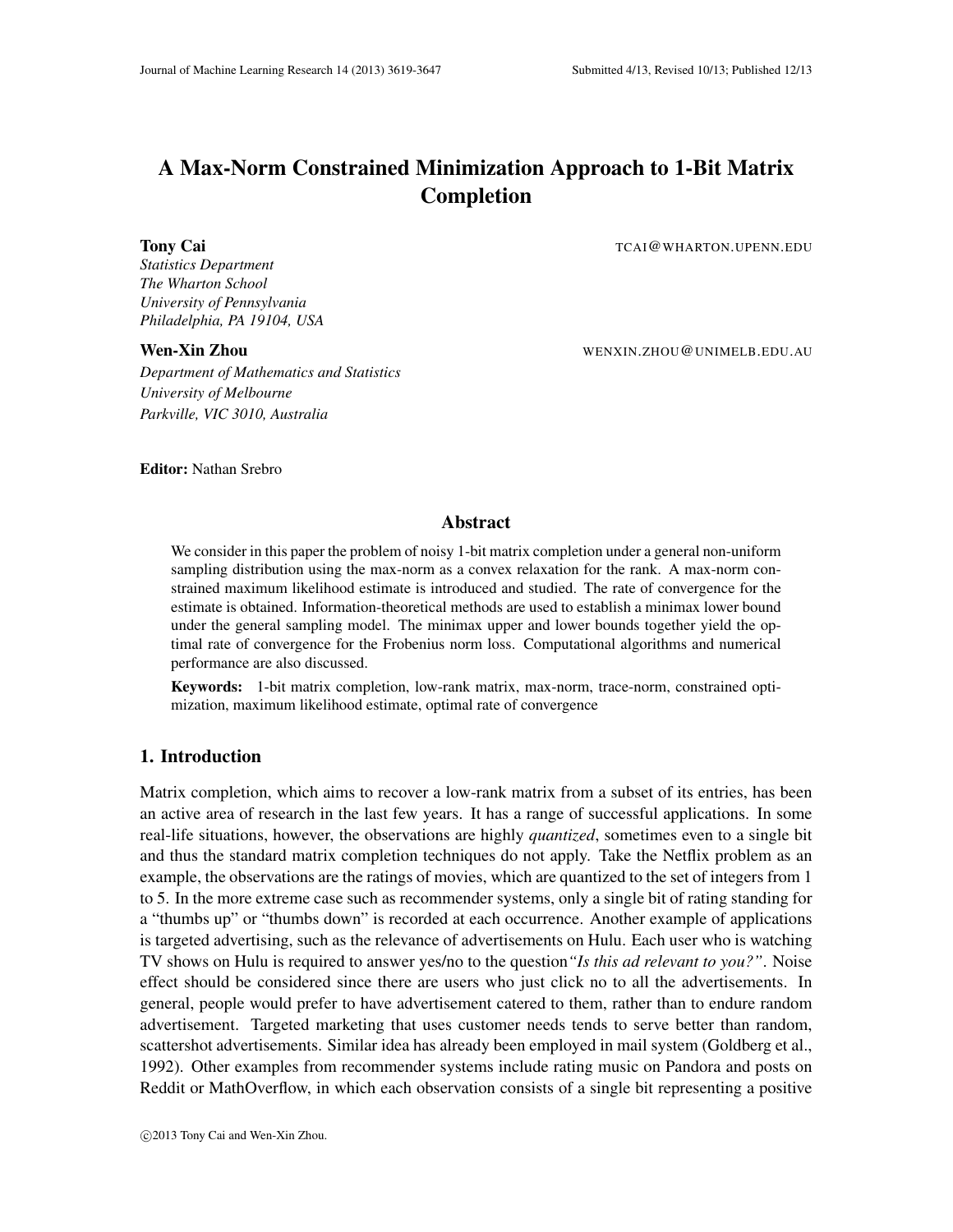# A Max-Norm Constrained Minimization Approach to 1-Bit Matrix Completion

*Statistics Department The Wharton School University of Pennsylvania Philadelphia, PA 19104, USA*

*Department of Mathematics and Statistics University of Melbourne Parkville, VIC 3010, Australia*

**Tony Cai** TCAI@WHARTON.UPENN.EDU

Wen-Xin Zhou WENXIN.ZHOU@UNIMELB.EDU.AU

#### Editor: Nathan Srebro

# Abstract

We consider in this paper the problem of noisy 1-bit matrix completion under a general non-uniform sampling distribution using the max-norm as a convex relaxation for the rank. A max-norm constrained maximum likelihood estimate is introduced and studied. The rate of convergence for the estimate is obtained. Information-theoretical methods are used to establish a minimax lower bound under the general sampling model. The minimax upper and lower bounds together yield the optimal rate of convergence for the Frobenius norm loss. Computational algorithms and numerical performance are also discussed.

Keywords: 1-bit matrix completion, low-rank matrix, max-norm, trace-norm, constrained optimization, maximum likelihood estimate, optimal rate of convergence

# 1. Introduction

Matrix completion, which aims to recover a low-rank matrix from a subset of its entries, has been an active area of research in the last few years. It has a range of successful applications. In some real-life situations, however, the observations are highly *quantized*, sometimes even to a single bit and thus the standard matrix completion techniques do not apply. Take the Netflix problem as an example, the observations are the ratings of movies, which are quantized to the set of integers from 1 to 5. In the more extreme case such as recommender systems, only a single bit of rating standing for a "thumbs up" or "thumbs down" is recorded at each occurrence. Another example of applications is targeted advertising, such as the relevance of advertisements on Hulu. Each user who is watching TV shows on Hulu is required to answer yes/no to the question*"Is this ad relevant to you?"*. Noise effect should be considered since there are users who just click no to all the advertisements. In general, people would prefer to have advertisement catered to them, rather than to endure random advertisement. Targeted marketing that uses customer needs tends to serve better than random, scattershot advertisements. Similar idea has already been employed in mail system (Goldberg et al., 1992). Other examples from recommender systems include rating music on Pandora and posts on Reddit or MathOverflow, in which each observation consists of a single bit representing a positive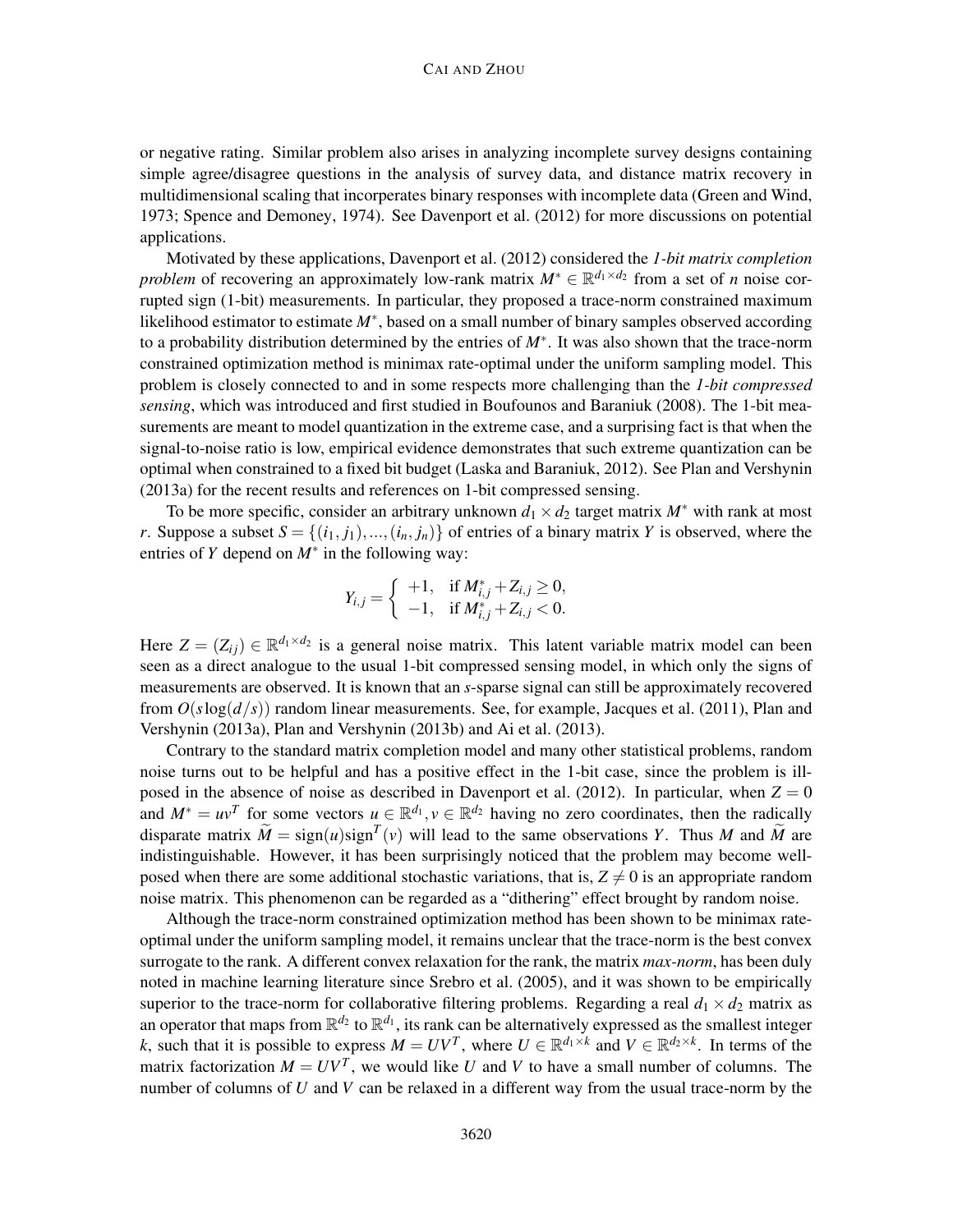#### CAI AND ZHOU

or negative rating. Similar problem also arises in analyzing incomplete survey designs containing simple agree/disagree questions in the analysis of survey data, and distance matrix recovery in multidimensional scaling that incorperates binary responses with incomplete data (Green and Wind, 1973; Spence and Demoney, 1974). See Davenport et al. (2012) for more discussions on potential applications.

Motivated by these applications, Davenport et al. (2012) considered the *1-bit matrix completion problem* of recovering an approximately low-rank matrix  $M^* \in \mathbb{R}^{d_1 \times d_2}$  from a set of *n* noise corrupted sign (1-bit) measurements. In particular, they proposed a trace-norm constrained maximum likelihood estimator to estimate *M*∗ , based on a small number of binary samples observed according to a probability distribution determined by the entries of *M*∗ . It was also shown that the trace-norm constrained optimization method is minimax rate-optimal under the uniform sampling model. This problem is closely connected to and in some respects more challenging than the *1-bit compressed sensing*, which was introduced and first studied in Boufounos and Baraniuk (2008). The 1-bit measurements are meant to model quantization in the extreme case, and a surprising fact is that when the signal-to-noise ratio is low, empirical evidence demonstrates that such extreme quantization can be optimal when constrained to a fixed bit budget (Laska and Baraniuk, 2012). See Plan and Vershynin (2013a) for the recent results and references on 1-bit compressed sensing.

To be more specific, consider an arbitrary unknown  $d_1 \times d_2$  target matrix  $M^*$  with rank at most *r*. Suppose a subset  $S = \{(i_1, j_1), ..., (i_n, j_n)\}\$  of entries of a binary matrix *Y* is observed, where the entries of *Y* depend on  $M^*$  in the following way:

$$
Y_{i,j} = \begin{cases} +1, & \text{if } M^*_{i,j} + Z_{i,j} \geq 0, \\ -1, & \text{if } M^*_{i,j} + Z_{i,j} < 0. \end{cases}
$$

Here  $Z = (Z_{ij}) \in \mathbb{R}^{d_1 \times d_2}$  is a general noise matrix. This latent variable matrix model can been seen as a direct analogue to the usual 1-bit compressed sensing model, in which only the signs of measurements are observed. It is known that an *s*-sparse signal can still be approximately recovered from  $O(s \log(d/s))$  random linear measurements. See, for example, Jacques et al. (2011), Plan and Vershynin (2013a), Plan and Vershynin (2013b) and Ai et al. (2013).

Contrary to the standard matrix completion model and many other statistical problems, random noise turns out to be helpful and has a positive effect in the 1-bit case, since the problem is illposed in the absence of noise as described in Davenport et al. (2012). In particular, when  $Z = 0$ and  $M^* = uv^T$  for some vectors  $u \in \mathbb{R}^{d_1}, v \in \mathbb{R}^{d_2}$  having no zero coordinates, then the radically disparate matrix  $\widetilde{M} = sign(u)sign^{T}(v)$  will lead to the same observations *Y*. Thus *M* and  $\widetilde{M}$  are indistinguishable. However, it has been surprisingly noticed that the problem may become wellposed when there are some additional stochastic variations, that is,  $Z \neq 0$  is an appropriate random noise matrix. This phenomenon can be regarded as a "dithering" effect brought by random noise.

Although the trace-norm constrained optimization method has been shown to be minimax rateoptimal under the uniform sampling model, it remains unclear that the trace-norm is the best convex surrogate to the rank. A different convex relaxation for the rank, the matrix *max-norm*, has been duly noted in machine learning literature since Srebro et al. (2005), and it was shown to be empirically superior to the trace-norm for collaborative filtering problems. Regarding a real  $d_1 \times d_2$  matrix as an operator that maps from  $\mathbb{R}^{d_2}$  to  $\mathbb{R}^{d_1}$ , its rank can be alternatively expressed as the smallest integer *k*, such that it is possible to express  $M = UV^T$ , where  $U \in \mathbb{R}^{d_1 \times k}$  and  $V \in \mathbb{R}^{d_2 \times k}$ . In terms of the matrix factorization  $M = UV^T$ , we would like *U* and *V* to have a small number of columns. The number of columns of *U* and *V* can be relaxed in a different way from the usual trace-norm by the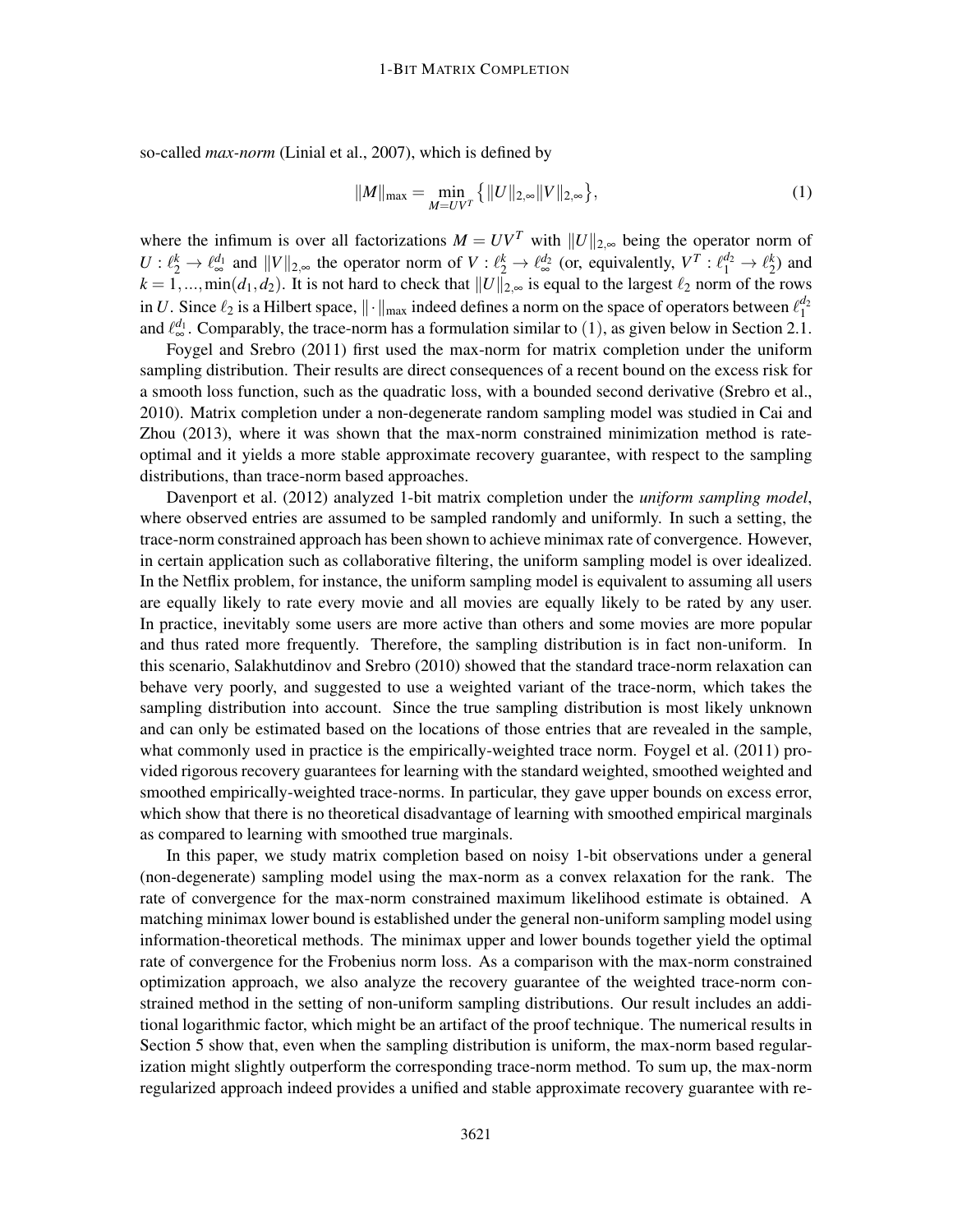so-called *max-norm* (Linial et al., 2007), which is defined by

$$
||M||_{\max} = \min_{M=UV^T} \{ ||U||_{2,\infty} ||V||_{2,\infty} \},
$$
\n(1)

where the infimum is over all factorizations  $M = UV^T$  with  $||U||_{2,\infty}$  being the operator norm of  $U: \ell_2^k \to \ell_{\infty}^{d_1}$  and  $||V||_{2,\infty}$  the operator norm of  $V: \ell_2^k \to \ell_{\infty}^{d_2}$  (or, equivalently,  $V^T: \ell_1^{d_2} \to \ell_2^k$ ) and  $k = 1, ..., min(d_1, d_2)$ . It is not hard to check that  $||U||_{2, \infty}$  is equal to the largest  $\ell_2$  norm of the rows in *U*. Since  $\ell_2$  is a Hilbert space,  $\|\cdot\|_{\max}$  indeed defines a norm on the space of operators between  $\ell_1^{d_2}$ and  $\ell_{\infty}^{d_1}$ . Comparably, the trace-norm has a formulation similar to (1), as given below in Section 2.1.

Foygel and Srebro (2011) first used the max-norm for matrix completion under the uniform sampling distribution. Their results are direct consequences of a recent bound on the excess risk for a smooth loss function, such as the quadratic loss, with a bounded second derivative (Srebro et al., 2010). Matrix completion under a non-degenerate random sampling model was studied in Cai and Zhou (2013), where it was shown that the max-norm constrained minimization method is rateoptimal and it yields a more stable approximate recovery guarantee, with respect to the sampling distributions, than trace-norm based approaches.

Davenport et al. (2012) analyzed 1-bit matrix completion under the *uniform sampling model*, where observed entries are assumed to be sampled randomly and uniformly. In such a setting, the trace-norm constrained approach has been shown to achieve minimax rate of convergence. However, in certain application such as collaborative filtering, the uniform sampling model is over idealized. In the Netflix problem, for instance, the uniform sampling model is equivalent to assuming all users are equally likely to rate every movie and all movies are equally likely to be rated by any user. In practice, inevitably some users are more active than others and some movies are more popular and thus rated more frequently. Therefore, the sampling distribution is in fact non-uniform. In this scenario, Salakhutdinov and Srebro (2010) showed that the standard trace-norm relaxation can behave very poorly, and suggested to use a weighted variant of the trace-norm, which takes the sampling distribution into account. Since the true sampling distribution is most likely unknown and can only be estimated based on the locations of those entries that are revealed in the sample, what commonly used in practice is the empirically-weighted trace norm. Foygel et al. (2011) provided rigorous recovery guarantees for learning with the standard weighted, smoothed weighted and smoothed empirically-weighted trace-norms. In particular, they gave upper bounds on excess error, which show that there is no theoretical disadvantage of learning with smoothed empirical marginals as compared to learning with smoothed true marginals.

In this paper, we study matrix completion based on noisy 1-bit observations under a general (non-degenerate) sampling model using the max-norm as a convex relaxation for the rank. The rate of convergence for the max-norm constrained maximum likelihood estimate is obtained. A matching minimax lower bound is established under the general non-uniform sampling model using information-theoretical methods. The minimax upper and lower bounds together yield the optimal rate of convergence for the Frobenius norm loss. As a comparison with the max-norm constrained optimization approach, we also analyze the recovery guarantee of the weighted trace-norm constrained method in the setting of non-uniform sampling distributions. Our result includes an additional logarithmic factor, which might be an artifact of the proof technique. The numerical results in Section 5 show that, even when the sampling distribution is uniform, the max-norm based regularization might slightly outperform the corresponding trace-norm method. To sum up, the max-norm regularized approach indeed provides a unified and stable approximate recovery guarantee with re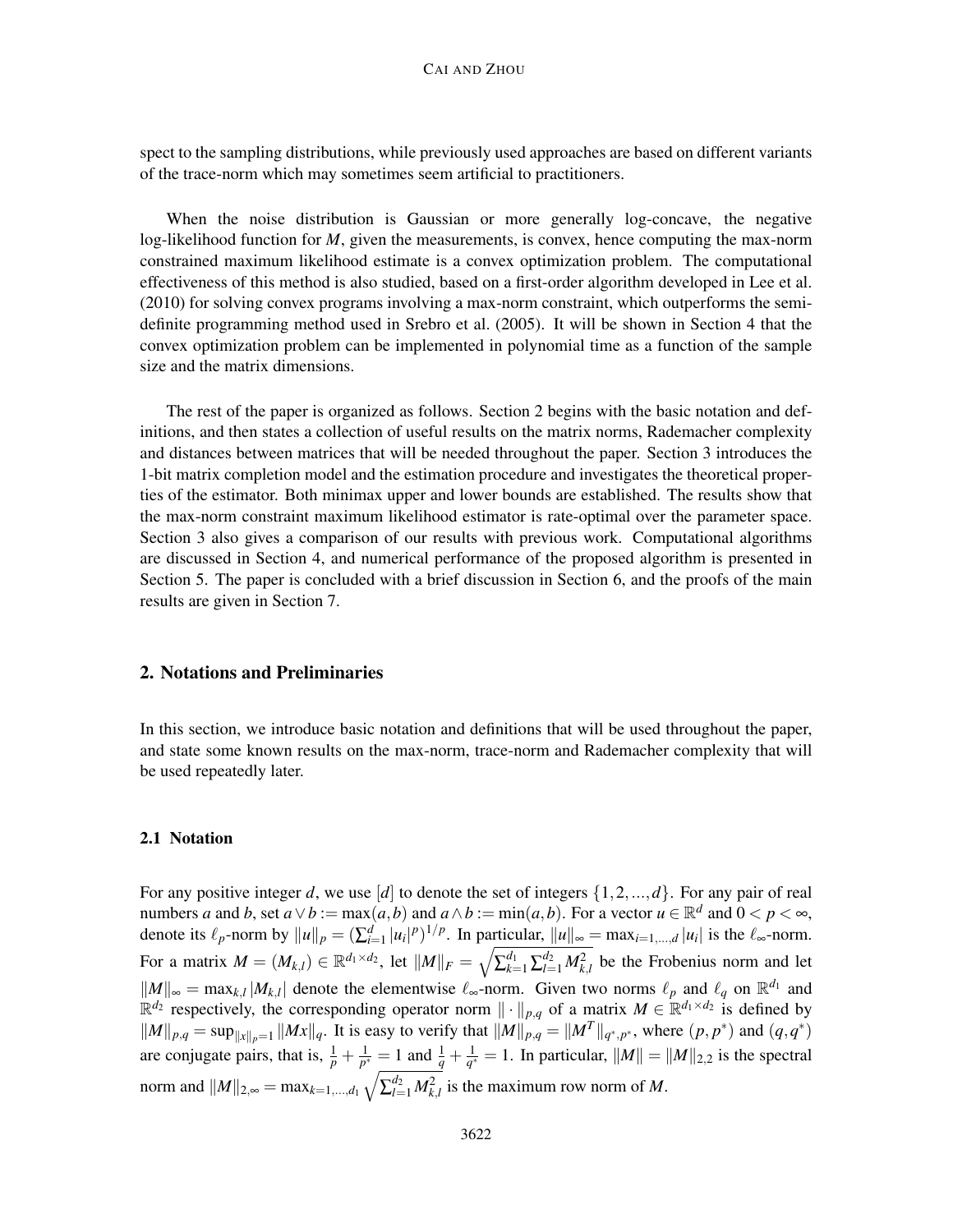spect to the sampling distributions, while previously used approaches are based on different variants of the trace-norm which may sometimes seem artificial to practitioners.

When the noise distribution is Gaussian or more generally log-concave, the negative log-likelihood function for *M*, given the measurements, is convex, hence computing the max-norm constrained maximum likelihood estimate is a convex optimization problem. The computational effectiveness of this method is also studied, based on a first-order algorithm developed in Lee et al. (2010) for solving convex programs involving a max-norm constraint, which outperforms the semidefinite programming method used in Srebro et al. (2005). It will be shown in Section 4 that the convex optimization problem can be implemented in polynomial time as a function of the sample size and the matrix dimensions.

The rest of the paper is organized as follows. Section 2 begins with the basic notation and definitions, and then states a collection of useful results on the matrix norms, Rademacher complexity and distances between matrices that will be needed throughout the paper. Section 3 introduces the 1-bit matrix completion model and the estimation procedure and investigates the theoretical properties of the estimator. Both minimax upper and lower bounds are established. The results show that the max-norm constraint maximum likelihood estimator is rate-optimal over the parameter space. Section 3 also gives a comparison of our results with previous work. Computational algorithms are discussed in Section 4, and numerical performance of the proposed algorithm is presented in Section 5. The paper is concluded with a brief discussion in Section 6, and the proofs of the main results are given in Section 7.

# 2. Notations and Preliminaries

In this section, we introduce basic notation and definitions that will be used throughout the paper, and state some known results on the max-norm, trace-norm and Rademacher complexity that will be used repeatedly later.

# 2.1 Notation

For any positive integer *d*, we use [*d*] to denote the set of integers  $\{1, 2, ..., d\}$ . For any pair of real numbers *a* and *b*, set  $a \lor b := max(a, b)$  and  $a \land b := min(a, b)$ . For a vector  $u \in \mathbb{R}^d$  and  $0 < p < \infty$ , denote its  $\ell_p$ -norm by  $||u||_p = \left(\sum_{i=1}^d |u_i|^p\right)^{1/p}$ . In particular,  $||u||_{\infty} = \max_{i=1,\dots,d} |u_i|$  is the  $\ell_{\infty}$ -norm. For a matrix  $M = (M_{k,l}) \in \mathbb{R}^{d_1 \times d_2}$ , let  $||M||_F = \sqrt{\sum_{k=1}^{d_1} \sum_{l=1}^{d_2} M_{k,l}^2}$  be the Frobenius norm and let  $||M||_{\infty}$  = max<sub>*k*,*l*</sub>  $|M_{k,l}|$  denote the elementwise  $\ell_{\infty}$ -norm. Given two norms  $\ell_p$  and  $\ell_q$  on  $\mathbb{R}^{d_1}$  and  $\mathbb{R}^{d_2}$  respectively, the corresponding operator norm  $\|\cdot\|_{p,q}$  of a matrix  $M \in \mathbb{R}^{d_1 \times d_2}$  is defined by  $||M||_{p,q} = \sup_{||x||_p=1} ||Mx||_q$ . It is easy to verify that  $||M||_{p,q} = ||M^T||_{q^*,p^*}$ , where  $(p, p^*)$  and  $(q, q^*)$ are conjugate pairs, that is,  $\frac{1}{p} + \frac{1}{p^s}$  $\frac{1}{p^*} = 1$  and  $\frac{1}{q} + \frac{1}{q^*}$  $\frac{1}{q^*} = 1$ . In particular,  $||M|| = ||M||_{2,2}$  is the spectral norm and  $||M||_{2,\infty} = \max_{k=1,\dots,d_1} \sqrt{\sum_{l=1}^{d_2} M_{k,l}^2}$  is the maximum row norm of *M*.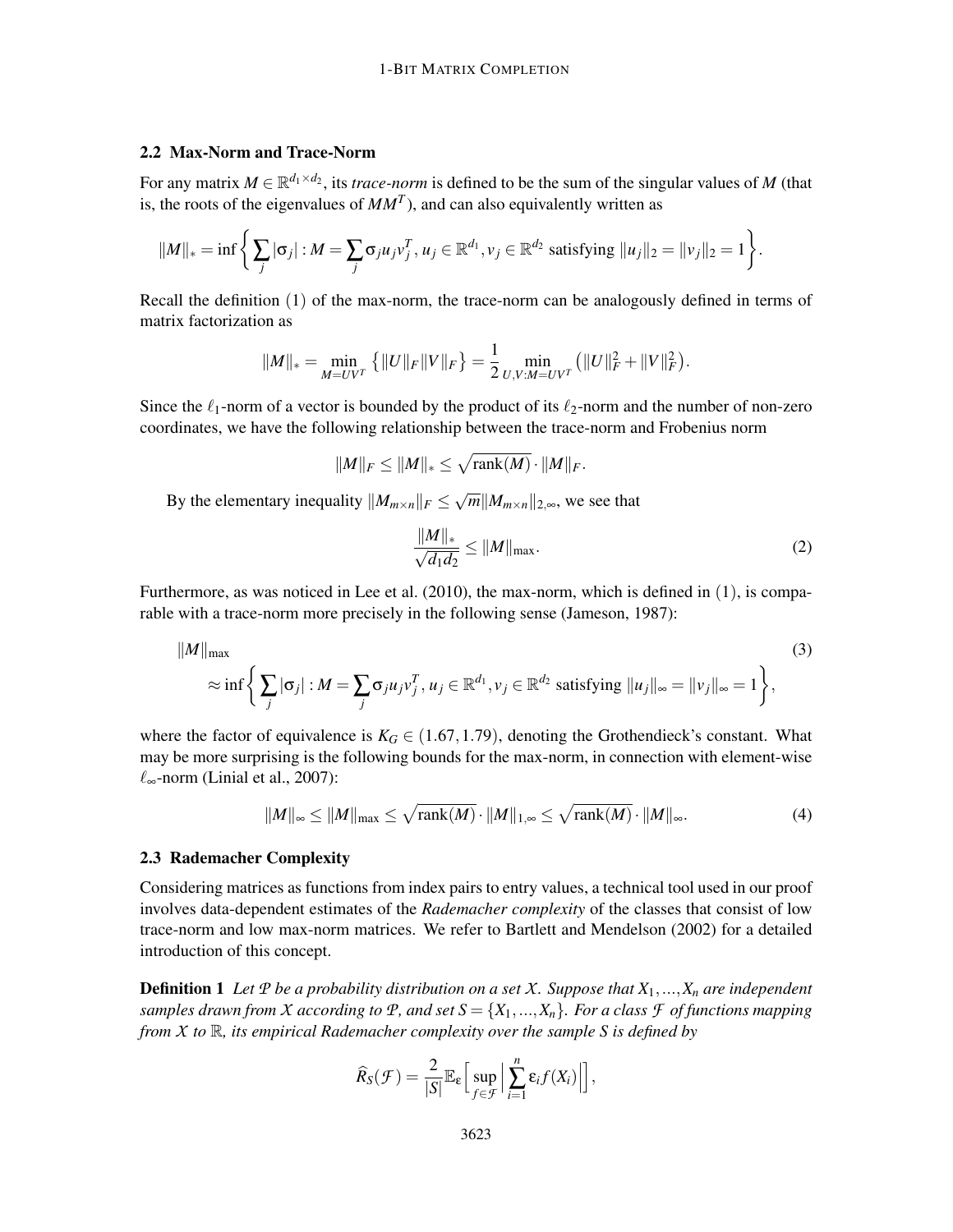# 2.2 Max-Norm and Trace-Norm

For any matrix  $M \in \mathbb{R}^{d_1 \times d_2}$ , its *trace-norm* is defined to be the sum of the singular values of M (that is, the roots of the eigenvalues of  $MM<sup>T</sup>$ ), and can also equivalently written as

$$
||M||_* = \inf \left\{ \sum_j |\sigma_j| : M = \sum_j \sigma_j u_j v_j^T, u_j \in \mathbb{R}^{d_1}, v_j \in \mathbb{R}^{d_2} \text{ satisfying } ||u_j||_2 = ||v_j||_2 = 1 \right\}.
$$

Recall the definition (1) of the max-norm, the trace-norm can be analogously defined in terms of matrix factorization as

$$
||M||_* = \min_{M=UV^T} \left\{ ||U||_F ||V||_F \right\} = \frac{1}{2} \min_{U,V:M=UV^T} \left( ||U||_F^2 + ||V||_F^2 \right).
$$

Since the  $\ell_1$ -norm of a vector is bounded by the product of its  $\ell_2$ -norm and the number of non-zero coordinates, we have the following relationship between the trace-norm and Frobenius norm

$$
||M||_F \leq ||M||_* \leq \sqrt{\text{rank}(M)} \cdot ||M||_F.
$$

By the elementary inequality  $||M_{m \times n}||_F \le \sqrt{m} ||M_{m \times n}||_{2,\infty}$ , we see that

$$
\frac{\|M\|_{*}}{\sqrt{d_1 d_2}} \le \|M\|_{\text{max}}.\tag{2}
$$

Furthermore, as was noticed in Lee et al.  $(2010)$ , the max-norm, which is defined in  $(1)$ , is comparable with a trace-norm more precisely in the following sense (Jameson, 1987):

$$
||M||_{\max} \approx \inf \left\{ \sum_{j} |\sigma_j| : M = \sum_{j} \sigma_j u_j v_j^T, u_j \in \mathbb{R}^{d_1}, v_j \in \mathbb{R}^{d_2} \text{ satisfying } ||u_j||_{\infty} = ||v_j||_{\infty} = 1 \right\},\tag{3}
$$

where the factor of equivalence is  $K_G \in (1.67, 1.79)$ , denoting the Grothendieck's constant. What may be more surprising is the following bounds for the max-norm, in connection with element-wise  $\ell_{\infty}$ -norm (Linial et al., 2007):

$$
||M||_{\infty} \leq ||M||_{\max} \leq \sqrt{\text{rank}(M)} \cdot ||M||_{1,\infty} \leq \sqrt{\text{rank}(M)} \cdot ||M||_{\infty}.
$$
 (4)

#### 2.3 Rademacher Complexity

Considering matrices as functions from index pairs to entry values, a technical tool used in our proof involves data-dependent estimates of the *Rademacher complexity* of the classes that consist of low trace-norm and low max-norm matrices. We refer to Bartlett and Mendelson (2002) for a detailed introduction of this concept.

Definition 1 *Let P be a probability distribution on a set X. Suppose that X*1,...,*X<sup>n</sup> are independent samples drawn from X according to*  $P$ *, and set*  $S = \{X_1, ..., X_n\}$ *. For a class*  $F$  *of functions mapping from X to* R*, its empirical Rademacher complexity over the sample S is defined by*

$$
\widehat{R}_S(\mathcal{F}) = \frac{2}{|S|} \mathbb{E}_{\varepsilon} \Big[ \sup_{f \in \mathcal{F}} \Big| \sum_{i=1}^n \varepsilon_i f(X_i) \Big| \Big],
$$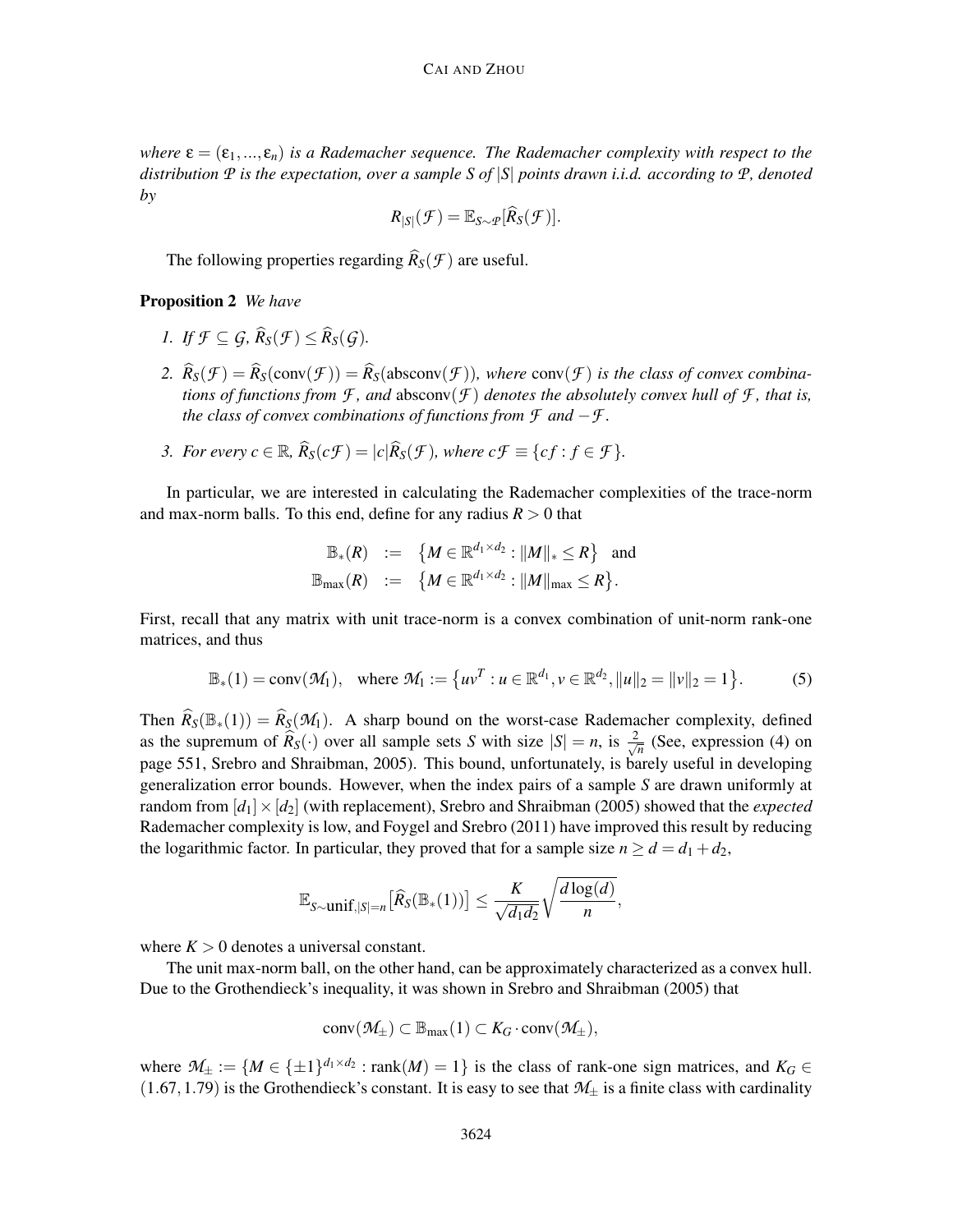*where*  $\epsilon = (\epsilon_1, ..., \epsilon_n)$  *is a Rademacher sequence. The Rademacher complexity with respect to the distribution P is the expectation, over a sample S of* |*S*| *points drawn i.i.d. according to P, denoted by*

$$
R_{|S|}(\mathcal{F})=\mathbb{E}_{S\sim \mathcal{P}}[\widehat{R}_S(\mathcal{F})].
$$

The following properties regarding  $\widehat{R}_S(f)$  are useful.

# Proposition 2 *We have*

- *I. If*  $\mathcal{F} \subseteq \mathcal{G}, \widehat{R}_S(\mathcal{F}) \leq \widehat{R}_S(\mathcal{G})$ .
- 2.  $\hat{R}_S(\mathcal{F}) = \hat{R}_S(\text{conv}(\mathcal{F})) = \hat{R}_S(\text{absconv}(\mathcal{F}))$ , where conv $(\mathcal{F})$  is the class of convex combina*tions of functions from*  $\mathcal{F}$ *, and absconv* $(\mathcal{F})$  *denotes the absolutely convex hull of*  $\mathcal{F}$ *, that is, the class of convex combinations of functions from F and* −*F .*
- *3. For every c*  $\in \mathbb{R}$ ,  $\widehat{R}_S(c\mathcal{F}) = |c|\widehat{R}_S(\mathcal{F})$ , where  $c\mathcal{F} \equiv \{cf : f \in \mathcal{F}\}.$

In particular, we are interested in calculating the Rademacher complexities of the trace-norm and max-norm balls. To this end, define for any radius  $R > 0$  that

$$
\mathbb{B}_*(R) := \{ M \in \mathbb{R}^{d_1 \times d_2} : ||M||_* \leq R \} \text{ and}
$$
  

$$
\mathbb{B}_{\max}(R) := \{ M \in \mathbb{R}^{d_1 \times d_2} : ||M||_{\max} \leq R \}.
$$

First, recall that any matrix with unit trace-norm is a convex combination of unit-norm rank-one matrices, and thus

$$
\mathbb{B}_*(1) = \text{conv}(\mathcal{M}_1), \quad \text{where } \mathcal{M}_1 := \{uv^T : u \in \mathbb{R}^{d_1}, v \in \mathbb{R}^{d_2}, ||u||_2 = ||v||_2 = 1\}.
$$
 (5)

Then  $\hat{R}_s(\mathbb{B}_*(1)) = \hat{R}_s(\mathcal{M}_1)$ . A sharp bound on the worst-case Rademacher complexity, defined as the supremum of  $\widehat{R}_S(\cdot)$  over all sample sets *S* with size  $|S| = n$ , is  $\frac{2}{\sqrt{n}}$  $\frac{1}{\overline{n}}$  (See, expression (4) on page 551, Srebro and Shraibman, 2005). This bound, unfortunately, is barely useful in developing generalization error bounds. However, when the index pairs of a sample *S* are drawn uniformly at random from  $d_1 \times d_2$  (with replacement), Srebro and Shraibman (2005) showed that the *expected* Rademacher complexity is low, and Foygel and Srebro (2011) have improved this result by reducing the logarithmic factor. In particular, they proved that for a sample size  $n \ge d = d_1 + d_2$ ,

$$
\mathbb{E}_{S \sim \text{unif}, |S|=n} \big[ \widehat{R}_S(\mathbb{B}_*(1)) \big] \leq \frac{K}{\sqrt{d_1 d_2}} \sqrt{\frac{d \log(d)}{n}},
$$

where  $K > 0$  denotes a universal constant.

The unit max-norm ball, on the other hand, can be approximately characterized as a convex hull. Due to the Grothendieck's inequality, it was shown in Srebro and Shraibman (2005) that

$$
conv(\mathcal{M}_{\pm}) \subset \mathbb{B}_{\max}(1) \subset K_G \cdot conv(\mathcal{M}_{\pm}),
$$

where  $M_{\pm} := \{ M \in {\pm 1}\}^{d_1 \times d_2}$ : rank $(M) = 1 \}$  is the class of rank-one sign matrices, and  $K_G \in$  $(1.67, 1.79)$  is the Grothendieck's constant. It is easy to see that  $M_{\pm}$  is a finite class with cardinality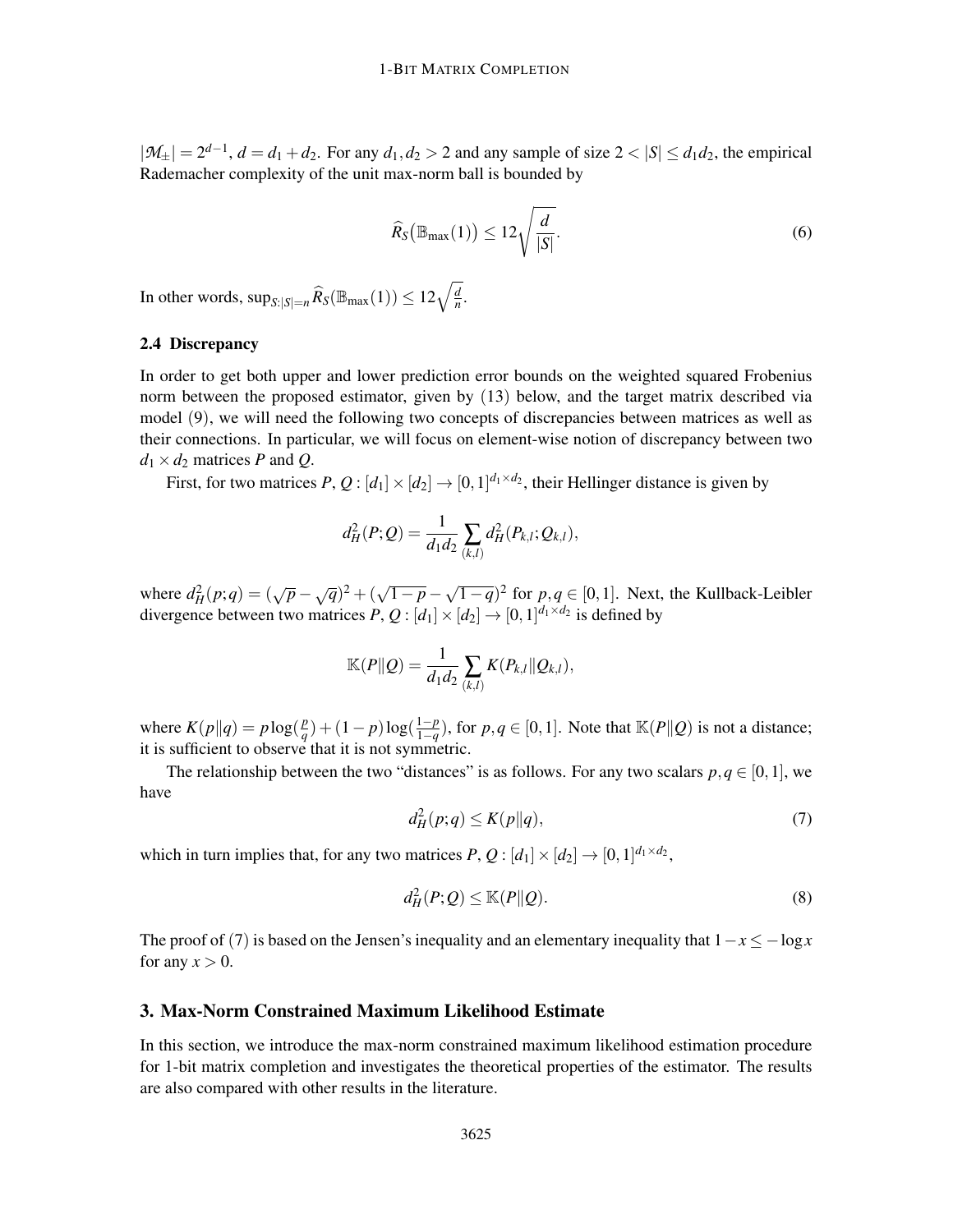$|M_{\pm}| = 2^{d-1}$ ,  $d = d_1 + d_2$ . For any  $d_1, d_2 > 2$  and any sample of size  $2 < |S| \le d_1 d_2$ , the empirical Rademacher complexity of the unit max-norm ball is bounded by

$$
\widehat{R}_S(\mathbb{B}_{\text{max}}(1)) \le 12\sqrt{\frac{d}{|S|}}.\tag{6}
$$

In other words,  $\sup_{S:|S|=n} \widehat{R}_S(\mathbb{B}_{\max}(1)) \leq 12\sqrt{\frac{d}{n}}$  $\frac{d}{n}$ .

# 2.4 Discrepancy

In order to get both upper and lower prediction error bounds on the weighted squared Frobenius norm between the proposed estimator, given by (13) below, and the target matrix described via model (9), we will need the following two concepts of discrepancies between matrices as well as their connections. In particular, we will focus on element-wise notion of discrepancy between two  $d_1 \times d_2$  matrices *P* and *Q*.

First, for two matrices  $P$ ,  $Q$  :  $[d_1] \times [d_2] \rightarrow [0,1]^{d_1 \times d_2}$ , their Hellinger distance is given by

$$
d_H^2(P;Q) = \frac{1}{d_1d_2} \sum_{(k,l)} d_H^2(P_{k,l};Q_{k,l}),
$$

where  $d_H^2(p;q) = (\sqrt{p} - \sqrt{q})^2 + (\sqrt{1-p} - \sqrt{1-q})^2$  for  $p,q \in [0,1]$ . Next, the Kullback-Leibler divergence between two matrices  $P$ ,  $Q$  :  $[d_1] \times [d_2] \rightarrow [0,1]^{d_1 \times d_2}$  is defined by

$$
\mathbb{K}(P||Q) = \frac{1}{d_1 d_2} \sum_{(k,l)} K(P_{k,l}||Q_{k,l}),
$$

where  $K(p||q) = p \log(\frac{p}{q})$  $\frac{p}{q}$ ) + (1 – *p*)log( $\frac{1-p}{1-q}$  $\frac{1-p}{1-q}$ ), for *p*,*q* ∈ [0, 1]. Note that  $\mathbb{K}(P||Q)$  is not a distance; it is sufficient to observe that it is not symmetric.

The relationship between the two "distances" is as follows. For any two scalars  $p, q \in [0, 1]$ , we have

$$
d_H^2(p;q) \le K(p||q),\tag{7}
$$

which in turn implies that, for any two matrices  $P$ ,  $Q$  :  $[d_1] \times [d_2] \rightarrow [0,1]^{d_1 \times d_2}$ ,

$$
d_H^2(P;Q) \le \mathbb{K}(P\|Q). \tag{8}
$$

The proof of (7) is based on the Jensen's inequality and an elementary inequality that  $1-x \le -\log x$ for any  $x > 0$ .

# 3. Max-Norm Constrained Maximum Likelihood Estimate

In this section, we introduce the max-norm constrained maximum likelihood estimation procedure for 1-bit matrix completion and investigates the theoretical properties of the estimator. The results are also compared with other results in the literature.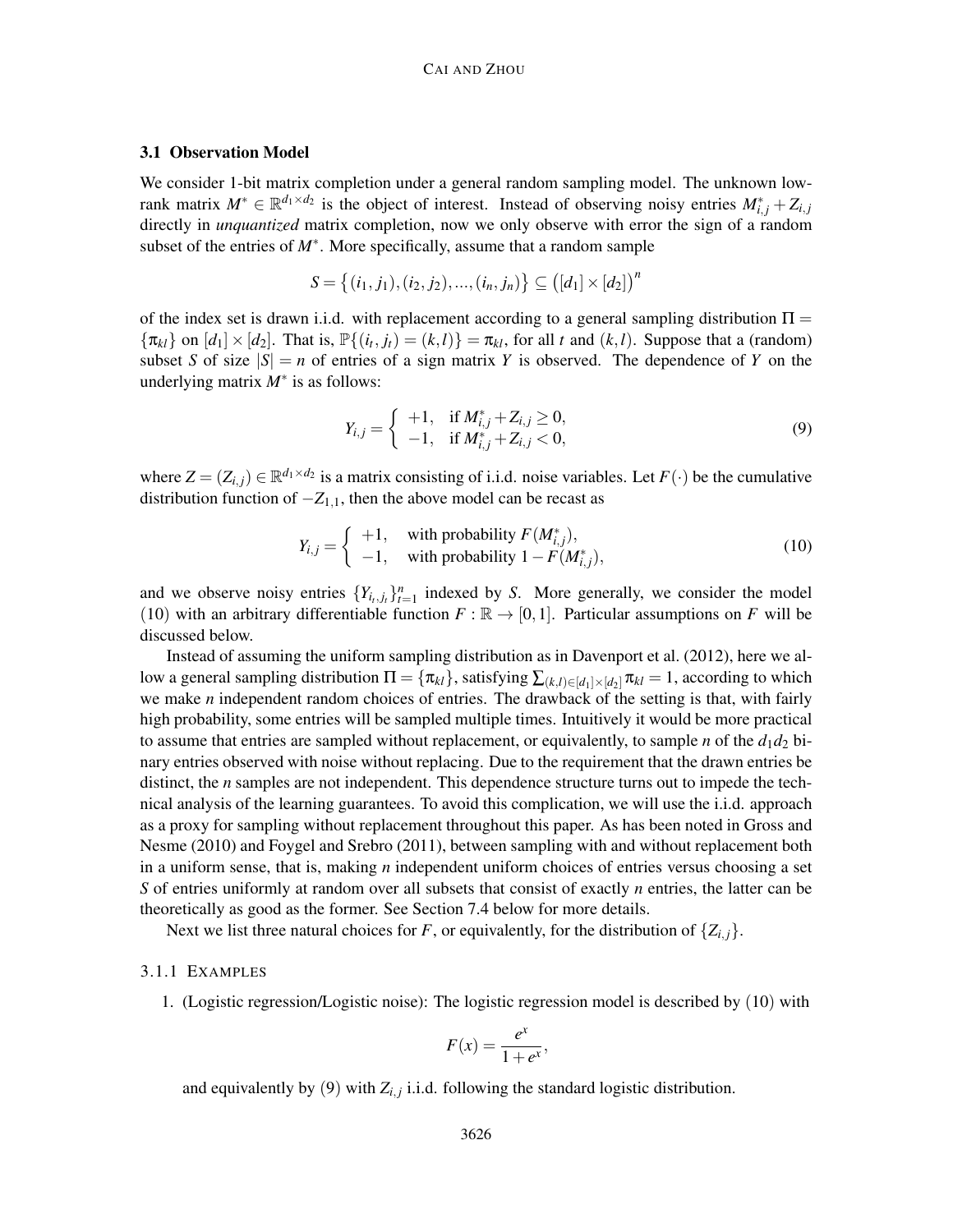# 3.1 Observation Model

We consider 1-bit matrix completion under a general random sampling model. The unknown lowrank matrix  $M^* \in \mathbb{R}^{d_1 \times d_2}$  is the object of interest. Instead of observing noisy entries  $M^*_{i,j} + Z_{i,j}$ directly in *unquantized* matrix completion, now we only observe with error the sign of a random subset of the entries of *M*∗ . More specifically, assume that a random sample

$$
S = \{(i_1, j_1), (i_2, j_2), ..., (i_n, j_n)\} \subseteq ([d_1] \times [d_2])^n
$$

of the index set is drawn i.i.d. with replacement according to a general sampling distribution  $\Pi =$  ${\lbrace \pi_{kl} \rbrace}$  on  $[d_1] \times [d_2]$ . That is,  $\mathbb{P}\lbrace (i_t, j_t) = (k, l) \rbrace = \pi_{kl}$ , for all *t* and  $(k, l)$ . Suppose that a (random) subset *S* of size  $|S| = n$  of entries of a sign matrix *Y* is observed. The dependence of *Y* on the underlying matrix *M*∗ is as follows:

$$
Y_{i,j} = \begin{cases} +1, & \text{if } M_{i,j}^* + Z_{i,j} \ge 0, \\ -1, & \text{if } M_{i,j}^* + Z_{i,j} < 0, \end{cases}
$$
(9)

where  $Z = (Z_{i,j}) \in \mathbb{R}^{d_1 \times d_2}$  is a matrix consisting of i.i.d. noise variables. Let  $F(\cdot)$  be the cumulative distribution function of  $-Z_{1,1}$ , then the above model can be recast as

$$
Y_{i,j} = \begin{cases} +1, & \text{with probability } F(M^*_{i,j}), \\ -1, & \text{with probability } 1 - F(M^*_{i,j}), \end{cases}
$$
 (10)

and we observe noisy entries  ${Y_{i_t,j_t}}_{t=1}^n$  indexed by *S*. More generally, we consider the model (10) with an arbitrary differentiable function  $F : \mathbb{R} \to [0,1]$ . Particular assumptions on *F* will be discussed below.

Instead of assuming the uniform sampling distribution as in Davenport et al. (2012), here we allow a general sampling distribution  $\Pi = {\pi_{kl}}$ , satisfying  $\sum_{(k,l) \in [d_1] \times [d_2]} \pi_{kl} = 1$ , according to which we make *n* independent random choices of entries. The drawback of the setting is that, with fairly high probability, some entries will be sampled multiple times. Intuitively it would be more practical to assume that entries are sampled without replacement, or equivalently, to sample *n* of the  $d_1d_2$  binary entries observed with noise without replacing. Due to the requirement that the drawn entries be distinct, the *n* samples are not independent. This dependence structure turns out to impede the technical analysis of the learning guarantees. To avoid this complication, we will use the i.i.d. approach as a proxy for sampling without replacement throughout this paper. As has been noted in Gross and Nesme (2010) and Foygel and Srebro (2011), between sampling with and without replacement both in a uniform sense, that is, making *n* independent uniform choices of entries versus choosing a set *S* of entries uniformly at random over all subsets that consist of exactly *n* entries, the latter can be theoretically as good as the former. See Section 7.4 below for more details.

Next we list three natural choices for *F*, or equivalently, for the distribution of  $\{Z_{i,j}\}$ .

#### 3.1.1 EXAMPLES

1. (Logistic regression/Logistic noise): The logistic regression model is described by (10) with

$$
F(x) = \frac{e^x}{1 + e^x},
$$

and equivalently by  $(9)$  with  $Z_{i,j}$  i.i.d. following the standard logistic distribution.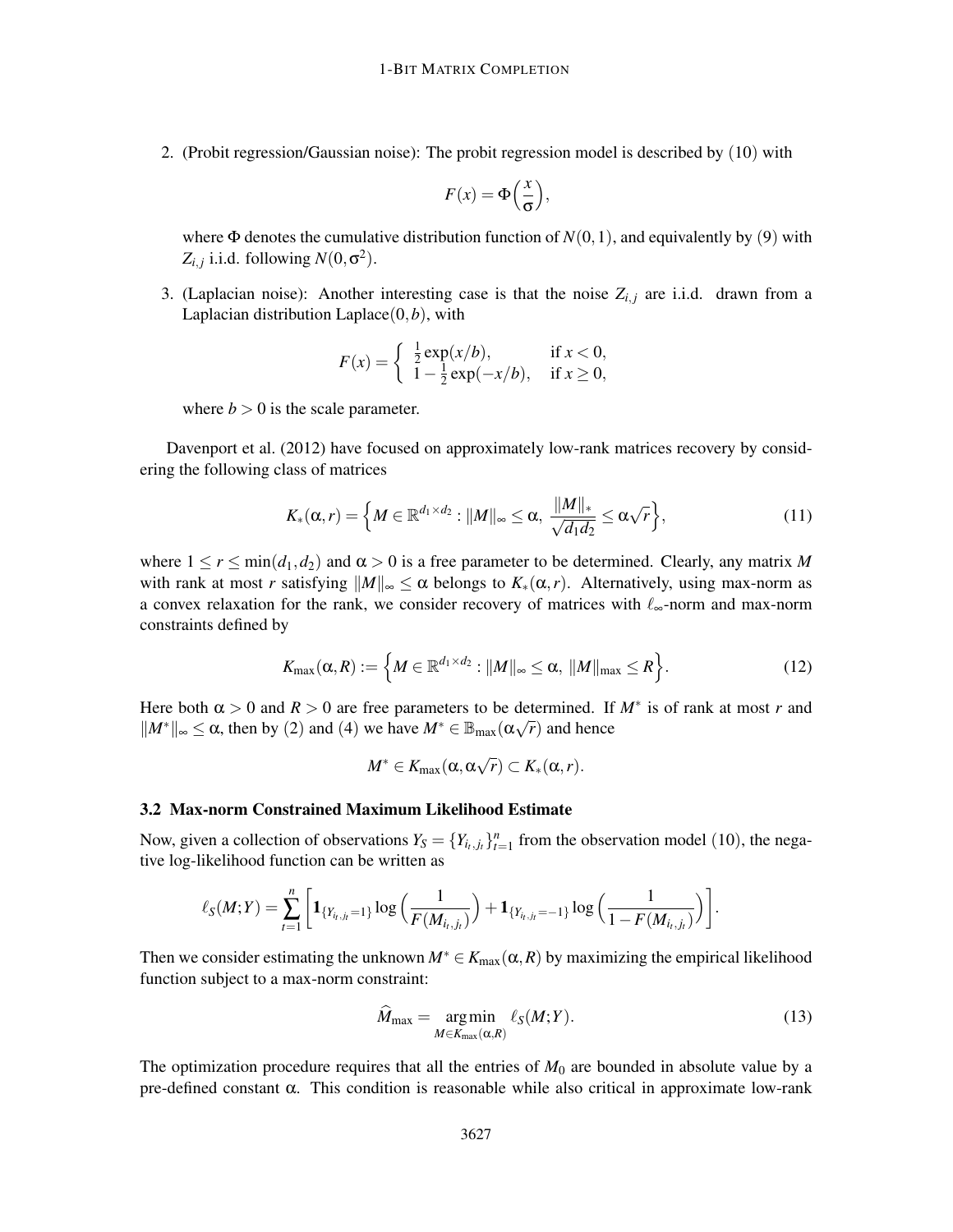2. (Probit regression/Gaussian noise): The probit regression model is described by (10) with

$$
F(x) = \Phi\left(\frac{x}{\sigma}\right),
$$

where  $\Phi$  denotes the cumulative distribution function of  $N(0,1)$ , and equivalently by (9) with  $Z_{i,j}$  i.i.d. following  $N(0, \sigma^2)$ .

3. (Laplacian noise): Another interesting case is that the noise  $Z_{i,j}$  are i.i.d. drawn from a Laplacian distribution Laplace(0,*b*), with

$$
F(x) = \begin{cases} \frac{1}{2} \exp(x/b), & \text{if } x < 0, \\ 1 - \frac{1}{2} \exp(-x/b), & \text{if } x \ge 0, \end{cases}
$$

where  $b > 0$  is the scale parameter.

Davenport et al. (2012) have focused on approximately low-rank matrices recovery by considering the following class of matrices

$$
K_*(\alpha,r) = \left\{ M \in \mathbb{R}^{d_1 \times d_2} : ||M||_{\infty} \le \alpha, \ \frac{||M||_*}{\sqrt{d_1 d_2}} \le \alpha \sqrt{r} \right\},\tag{11}
$$

where  $1 \le r \le \min(d_1, d_2)$  and  $\alpha > 0$  is a free parameter to be determined. Clearly, any matrix M with rank at most *r* satisfying  $||M||_{\infty} \le \alpha$  belongs to  $K_*(\alpha,r)$ . Alternatively, using max-norm as a convex relaxation for the rank, we consider recovery of matrices with  $\ell_{\infty}$ -norm and max-norm constraints defined by

$$
K_{\max}(\alpha, R) := \left\{ M \in \mathbb{R}^{d_1 \times d_2} : ||M||_{\infty} \le \alpha, ||M||_{\max} \le R \right\}.
$$
 (12)

Here both  $\alpha > 0$  and  $R > 0$  are free parameters to be determined. If  $M^*$  is of rank at most *r* and  $||M^*||_{\infty}$  ≤  $\alpha$ , then by (2) and (4) we have  $M^* \in \mathbb{B}_{\max}(\alpha\sqrt{r})$  and hence

$$
M^*\in K_{\max}(\alpha,\alpha\sqrt{r})\subset K_*(\alpha,r).
$$

#### 3.2 Max-norm Constrained Maximum Likelihood Estimate

Now, given a collection of observations  $Y_s = \{Y_{i_t,j_t}\}_{t=1}^n$  from the observation model (10), the negative log-likelihood function can be written as

$$
\ell_{S}(M;Y) = \sum_{t=1}^{n} \left[ \mathbf{1}_{\{Y_{i_t,j_t}=1\}} \log \left( \frac{1}{F(M_{i_t,j_t})} \right) + \mathbf{1}_{\{Y_{i_t,j_t}=-1\}} \log \left( \frac{1}{1-F(M_{i_t,j_t})} \right) \right].
$$

Then we consider estimating the unknown  $M^* \in K_{\text{max}}(\alpha, R)$  by maximizing the empirical likelihood function subject to a max-norm constraint:

$$
\widehat{M}_{\max} = \underset{M \in K_{\max}(\alpha, R)}{\arg \min} \ell_S(M; Y). \tag{13}
$$

The optimization procedure requires that all the entries of  $M_0$  are bounded in absolute value by a pre-defined constant α. This condition is reasonable while also critical in approximate low-rank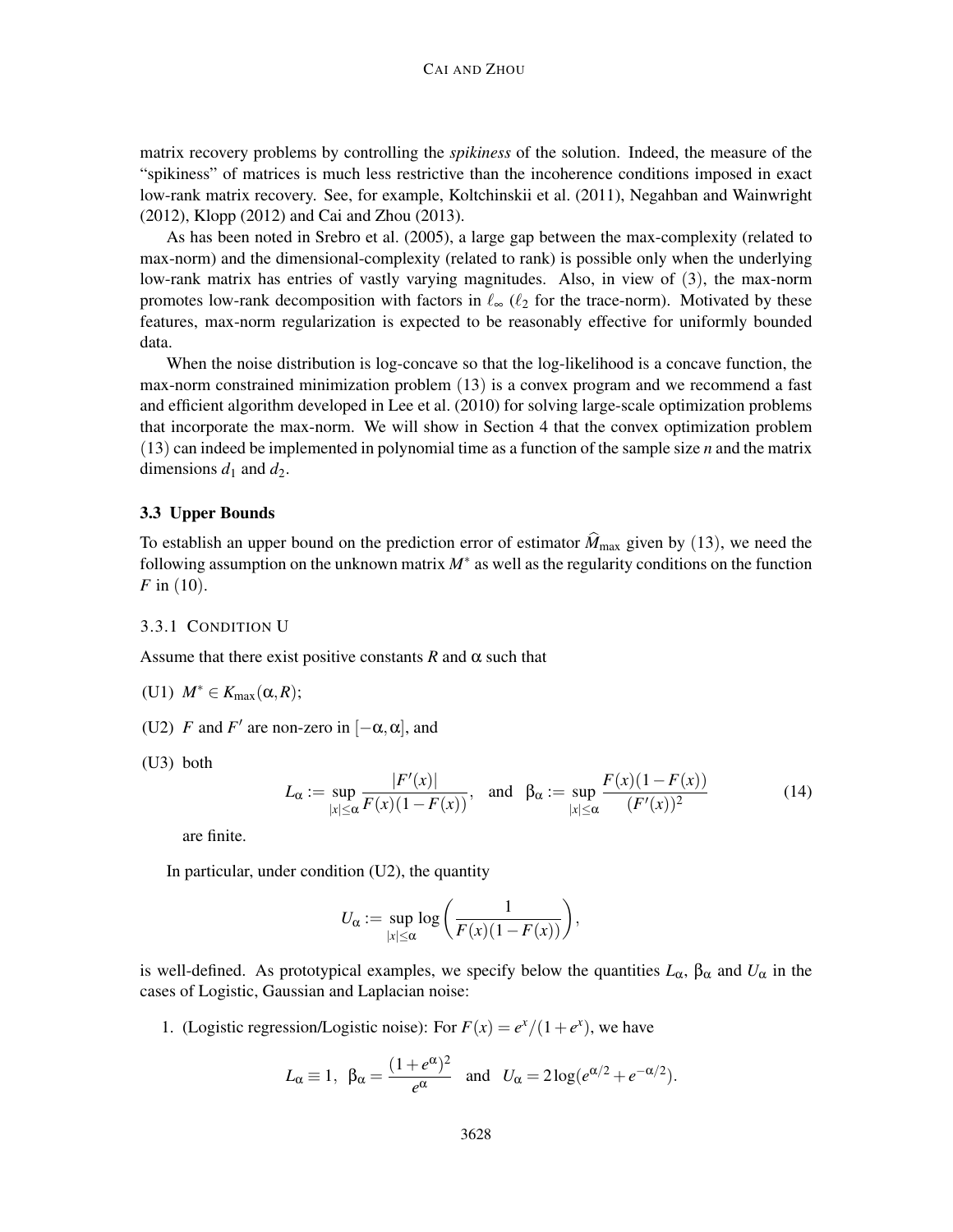matrix recovery problems by controlling the *spikiness* of the solution. Indeed, the measure of the "spikiness" of matrices is much less restrictive than the incoherence conditions imposed in exact low-rank matrix recovery. See, for example, Koltchinskii et al. (2011), Negahban and Wainwright (2012), Klopp (2012) and Cai and Zhou (2013).

As has been noted in Srebro et al. (2005), a large gap between the max-complexity (related to max-norm) and the dimensional-complexity (related to rank) is possible only when the underlying low-rank matrix has entries of vastly varying magnitudes. Also, in view of (3), the max-norm promotes low-rank decomposition with factors in  $\ell_{\infty}$  ( $\ell_2$  for the trace-norm). Motivated by these features, max-norm regularization is expected to be reasonably effective for uniformly bounded data.

When the noise distribution is log-concave so that the log-likelihood is a concave function, the max-norm constrained minimization problem (13) is a convex program and we recommend a fast and efficient algorithm developed in Lee et al. (2010) for solving large-scale optimization problems that incorporate the max-norm. We will show in Section 4 that the convex optimization problem (13) can indeed be implemented in polynomial time as a function of the sample size *n* and the matrix dimensions  $d_1$  and  $d_2$ .

# 3.3 Upper Bounds

To establish an upper bound on the prediction error of estimator  $\hat{M}_{\text{max}}$  given by (13), we need the following assumption on the unknown matrix *M*∗ as well as the regularity conditions on the function *F* in (10).

#### 3.3.1 CONDITION U

Assume that there exist positive constants  $R$  and  $\alpha$  such that

$$
(U1) M^* \in K_{\max}(\alpha, R);
$$

- (U2) *F* and *F*' are non-zero in  $[-\alpha, \alpha]$ , and
- (U3) both

$$
L_{\alpha} := \sup_{|x| \le \alpha} \frac{|F'(x)|}{F(x)(1 - F(x))}, \text{ and } \beta_{\alpha} := \sup_{|x| \le \alpha} \frac{F(x)(1 - F(x))}{(F'(x))^2}
$$
(14)

are finite.

In particular, under condition (U2), the quantity

$$
U_{\alpha} := \sup_{|x| \le \alpha} \log \left( \frac{1}{F(x)(1 - F(x))} \right),\,
$$

is well-defined. As prototypical examples, we specify below the quantities  $L_{\alpha}$ ,  $\beta_{\alpha}$  and  $U_{\alpha}$  in the cases of Logistic, Gaussian and Laplacian noise:

1. (Logistic regression/Logistic noise): For  $F(x) = e^x/(1+e^x)$ , we have

$$
L_{\alpha} \equiv 1
$$
,  $\beta_{\alpha} = \frac{(1 + e^{\alpha})^2}{e^{\alpha}}$  and  $U_{\alpha} = 2\log(e^{\alpha/2} + e^{-\alpha/2})$ .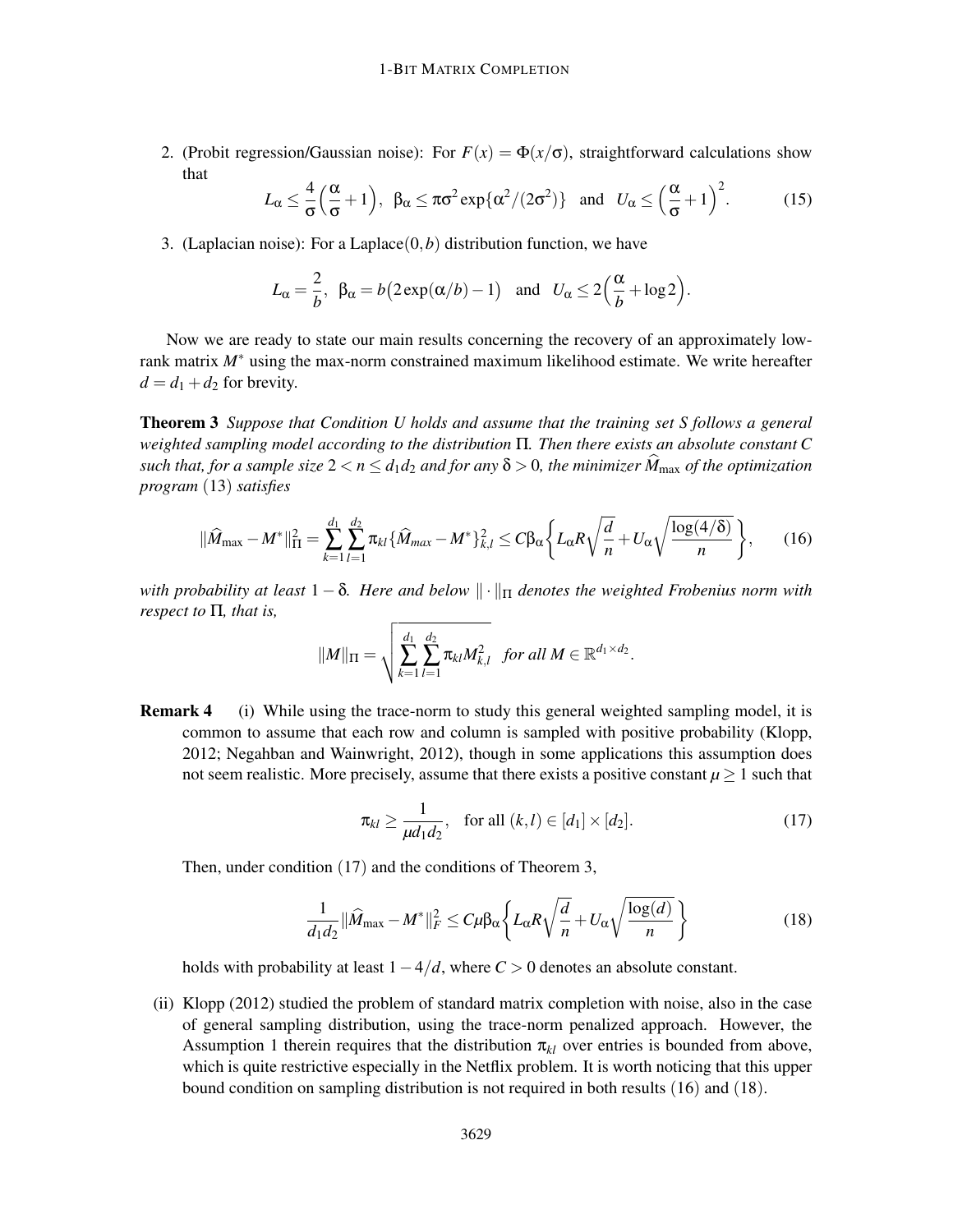2. (Probit regression/Gaussian noise): For  $F(x) = \Phi(x/\sigma)$ , straightforward calculations show that

$$
L_{\alpha} \leq \frac{4}{\sigma} \left( \frac{\alpha}{\sigma} + 1 \right), \ \ \beta_{\alpha} \leq \pi \sigma^2 \exp \{ \alpha^2 / (2\sigma^2) \} \quad \text{and} \quad U_{\alpha} \leq \left( \frac{\alpha}{\sigma} + 1 \right)^2. \tag{15}
$$

3. (Laplacian noise): For a Laplace $(0,b)$  distribution function, we have

$$
L_{\alpha} = \frac{2}{b}, \ \beta_{\alpha} = b(2 \exp(\alpha/b) - 1)
$$
 and  $U_{\alpha} \le 2(\frac{\alpha}{b} + \log 2).$ 

Now we are ready to state our main results concerning the recovery of an approximately lowrank matrix *M*∗ using the max-norm constrained maximum likelihood estimate. We write hereafter  $d = d_1 + d_2$  for brevity.

Theorem 3 *Suppose that Condition U holds and assume that the training set S follows a general weighted sampling model according to the distribution* Π*. Then there exists an absolute constant C such that, for a sample size*  $2 < n \le d_1 d_2$  *and for any*  $\delta > 0$ *, the minimizer*  $M_{\text{max}}$  *of the optimization program* (13) *satisfies*

$$
\|\widehat{M}_{\max} - M^*\|_{\Pi}^2 = \sum_{k=1}^{d_1} \sum_{l=1}^{d_2} \pi_{kl} {\{\widehat{M}_{max} - M^*\}_{k,l}^2} \le C\beta_\alpha {\left\{L_\alpha R \sqrt{\frac{d}{n}} + U_\alpha \sqrt{\frac{\log(4/\delta)}{n}}\right\}},\qquad(16)
$$

*with probability at least*  $1 - \delta$ . Here and below  $\|\cdot\|_{\Pi}$  denotes the weighted Frobenius norm with *respect to* Π*, that is,*

$$
||M||_{\Pi} = \sqrt{\sum_{k=1}^{d_1} \sum_{l=1}^{d_2} \pi_{kl} M_{k,l}^2} \text{ for all } M \in \mathbb{R}^{d_1 \times d_2}.
$$

**Remark 4** (i) While using the trace-norm to study this general weighted sampling model, it is common to assume that each row and column is sampled with positive probability (Klopp, 2012; Negahban and Wainwright, 2012), though in some applications this assumption does not seem realistic. More precisely, assume that there exists a positive constant  $\mu \geq 1$  such that

$$
\pi_{kl} \ge \frac{1}{\mu d_1 d_2}, \quad \text{for all } (k,l) \in [d_1] \times [d_2]. \tag{17}
$$

Then, under condition (17) and the conditions of Theorem 3,

$$
\frac{1}{d_1 d_2} \|\widehat{M}_{\text{max}} - M^*\|_F^2 \le C\mu \beta_\alpha \left\{ L_\alpha R \sqrt{\frac{d}{n}} + U_\alpha \sqrt{\frac{\log(d)}{n}} \right\} \tag{18}
$$

holds with probability at least 1−4/*d*, where *C* > 0 denotes an absolute constant.

(ii) Klopp (2012) studied the problem of standard matrix completion with noise, also in the case of general sampling distribution, using the trace-norm penalized approach. However, the Assumption 1 therein requires that the distribution  $\pi_{kl}$  over entries is bounded from above, which is quite restrictive especially in the Netflix problem. It is worth noticing that this upper bound condition on sampling distribution is not required in both results (16) and (18).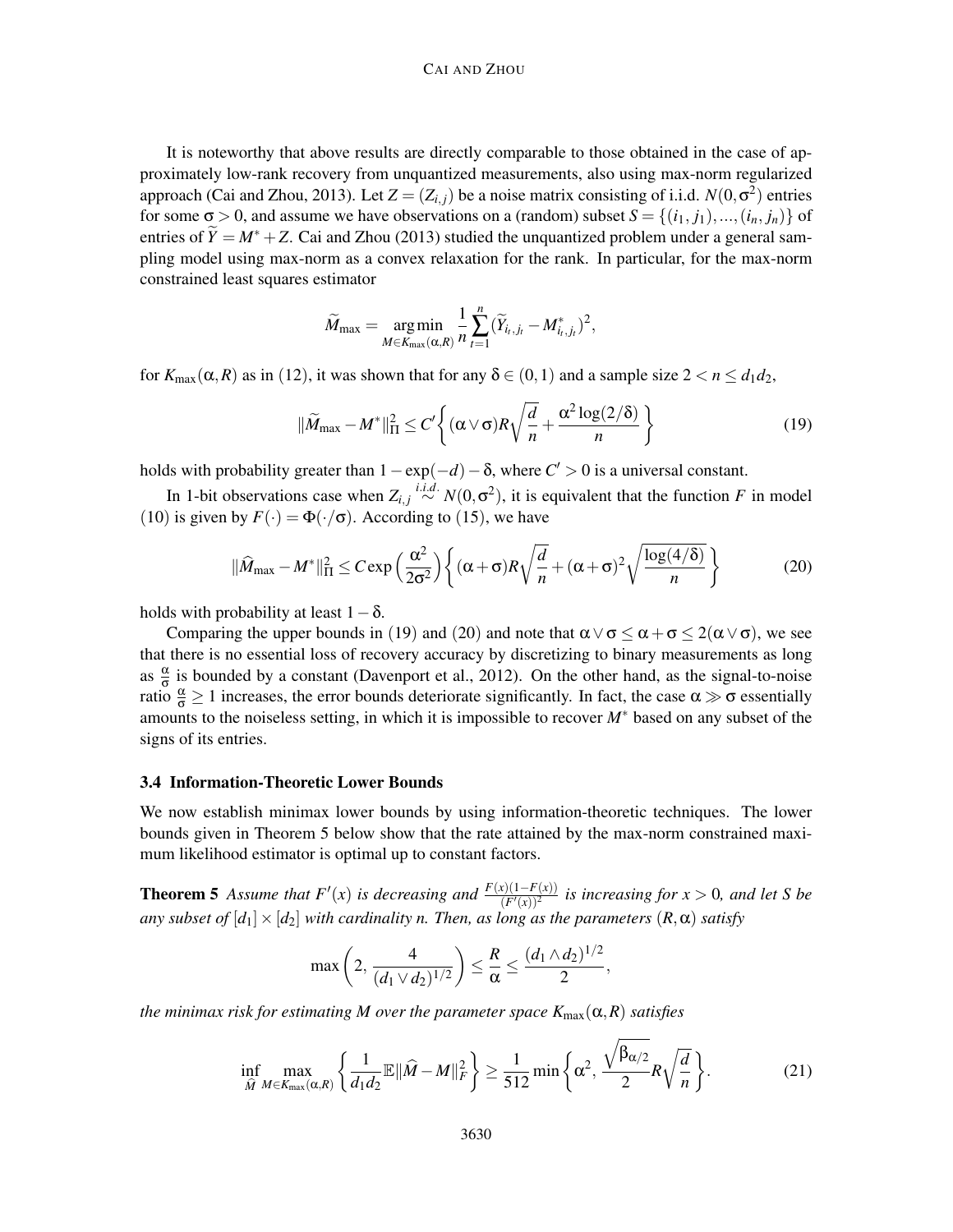### CAI AND ZHOU

It is noteworthy that above results are directly comparable to those obtained in the case of approximately low-rank recovery from unquantized measurements, also using max-norm regularized approach (Cai and Zhou, 2013). Let  $Z = (Z_{i,j})$  be a noise matrix consisting of i.i.d.  $N(0, \sigma^2)$  entries for some  $\sigma > 0$ , and assume we have observations on a (random) subset  $S = \{(i_1, j_1), ..., (i_n, j_n)\}\$  of entries of  $\widetilde{Y} = M^* + Z$ . Cai and Zhou (2013) studied the unquantized problem under a general sampling model using max-norm as a convex relaxation for the rank. In particular, for the max-norm constrained least squares estimator

$$
\widetilde{M}_{\max} = \underset{M \in K_{\max}(\alpha, R)}{\arg \min} \frac{1}{n} \sum_{t=1}^n (\widetilde{Y}_{i_t, j_t} - M^*_{i_t, j_t})^2,
$$

for  $K_{\text{max}}(\alpha, R)$  as in (12), it was shown that for any  $\delta \in (0, 1)$  and a sample size  $2 < n \leq d_1 d_2$ ,

$$
\|\widetilde{M}_{\max} - M^*\|_{\Pi}^2 \le C' \left\{ (\alpha \vee \sigma) R \sqrt{\frac{d}{n}} + \frac{\alpha^2 \log(2/\delta)}{n} \right\}
$$
(19)

holds with probability greater than  $1 - \exp(-d) - \delta$ , where  $C' > 0$  is a universal constant.

In 1-bit observations case when  $Z_{i,j} \stackrel{i.i.d.}{\sim} N(0, \sigma^2)$ , it is equivalent that the function *F* in model (10) is given by  $F(\cdot) = \Phi(\cdot/\sigma)$ . According to (15), we have

$$
\|\widehat{M}_{\max} - M^*\|_{\Pi}^2 \le C \exp\left(\frac{\alpha^2}{2\sigma^2}\right) \left\{ (\alpha + \sigma)R\sqrt{\frac{d}{n}} + (\alpha + \sigma)^2 \sqrt{\frac{\log(4/\delta)}{n}} \right\}
$$
(20)

holds with probability at least  $1-\delta$ .

Comparing the upper bounds in (19) and (20) and note that  $\alpha \vee \sigma \leq \alpha + \sigma \leq 2(\alpha \vee \sigma)$ , we see that there is no essential loss of recovery accuracy by discretizing to binary measurements as long as  $\frac{\alpha}{\sigma}$  is bounded by a constant (Davenport et al., 2012). On the other hand, as the signal-to-noise ratio  $\frac{\alpha}{\sigma} \ge 1$  increases, the error bounds deteriorate significantly. In fact, the case  $\alpha \gg \sigma$  essentially amounts to the noiseless setting, in which it is impossible to recover *M*∗ based on any subset of the signs of its entries.

# 3.4 Information-Theoretic Lower Bounds

We now establish minimax lower bounds by using information-theoretic techniques. The lower bounds given in Theorem 5 below show that the rate attained by the max-norm constrained maximum likelihood estimator is optimal up to constant factors.

**Theorem 5** Assume that  $F'(x)$  is decreasing and  $\frac{F(x)(1-F(x))}{(F'(x))^2}$  is increasing for  $x > 0$ , and let S be *any subset of*  $[d_1] \times [d_2]$  *with cardinality n. Then, as long as the parameters*  $(R, \alpha)$  *satisfy* 

$$
\max\left(2, \frac{4}{(d_1 \vee d_2)^{1/2}}\right) \leq \frac{R}{\alpha} \leq \frac{(d_1 \wedge d_2)^{1/2}}{2},
$$

*the minimax risk for estimating M over the parameter space*  $K_{\text{max}}(\alpha, R)$  *satisfies* 

$$
\inf_{\widehat{M}} \max_{M \in K_{\max}(\alpha, R)} \left\{ \frac{1}{d_1 d_2} \mathbb{E} \|\widehat{M} - M\|_F^2 \right\} \ge \frac{1}{512} \min \left\{ \alpha^2, \frac{\sqrt{\beta_{\alpha/2}}}{2} R \sqrt{\frac{d}{n}} \right\}. \tag{21}
$$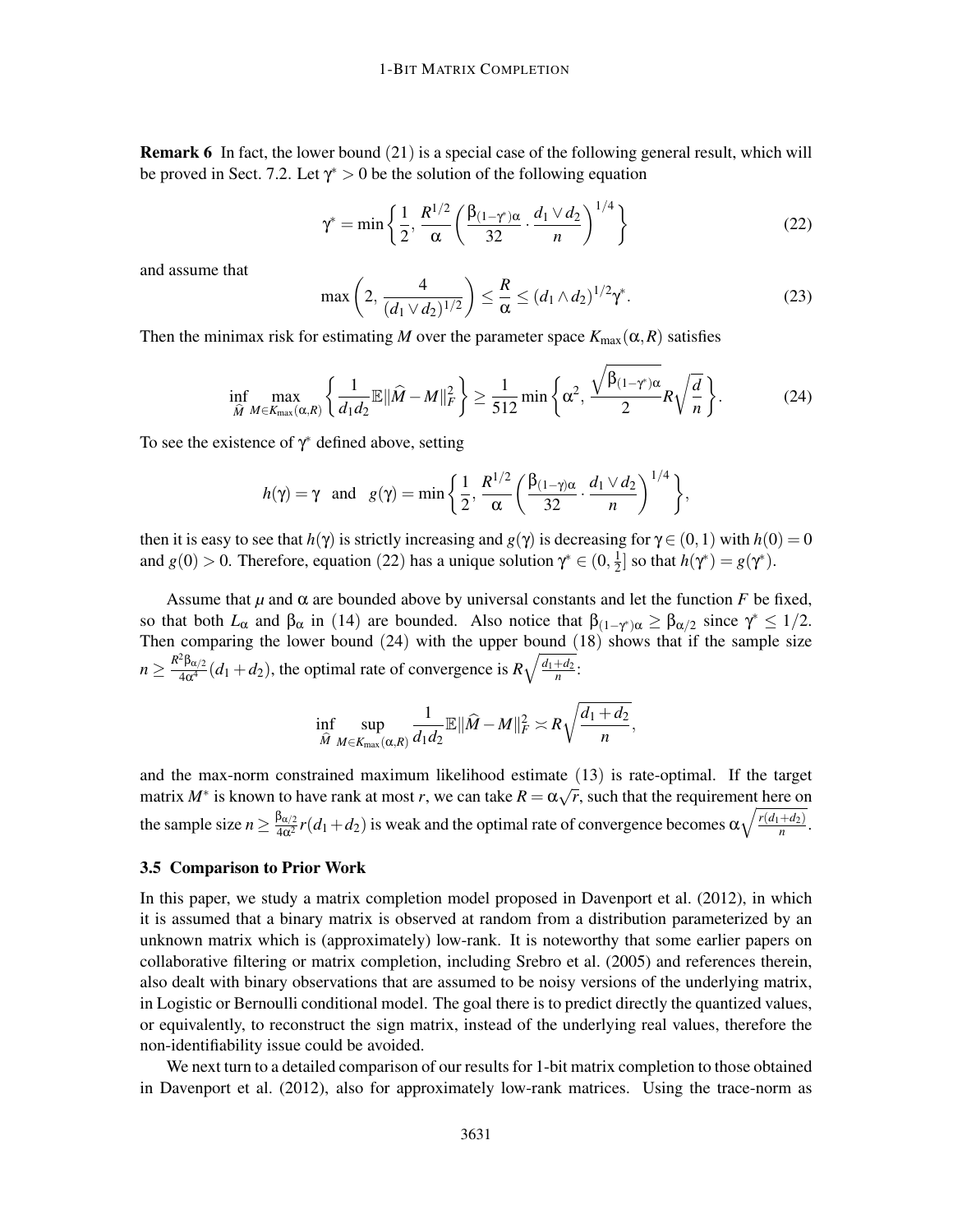Remark 6 In fact, the lower bound (21) is a special case of the following general result, which will be proved in Sect. 7.2. Let  $\gamma^* > 0$  be the solution of the following equation

$$
\gamma^* = \min\left\{\frac{1}{2}, \frac{R^{1/2}}{\alpha} \left(\frac{\beta_{(1-\gamma^*)\alpha}}{32} \cdot \frac{d_1 \vee d_2}{n}\right)^{1/4}\right\} \tag{22}
$$

and assume that

$$
\max\left(2, \frac{4}{(d_1 \vee d_2)^{1/2}}\right) \le \frac{R}{\alpha} \le (d_1 \wedge d_2)^{1/2} \gamma^*.
$$
 (23)

Then the minimax risk for estimating *M* over the parameter space  $K_{\text{max}}(\alpha, R)$  satisfies

$$
\inf_{\widehat{M}} \max_{M \in K_{\max}(\alpha, R)} \left\{ \frac{1}{d_1 d_2} \mathbb{E} \|\widehat{M} - M\|_F^2 \right\} \ge \frac{1}{512} \min \left\{ \alpha^2, \frac{\sqrt{\beta_{(1-\gamma^*)\alpha}}}{2} R \sqrt{\frac{d}{n}} \right\}. \tag{24}
$$

To see the existence of  $\gamma^*$  defined above, setting

$$
h(\gamma) = \gamma
$$
 and  $g(\gamma) = \min \left\{ \frac{1}{2}, \frac{R^{1/2}}{\alpha} \left( \frac{\beta_{(1-\gamma)\alpha}}{32} \cdot \frac{d_1 \vee d_2}{n} \right)^{1/4} \right\},$ 

then it is easy to see that  $h(\gamma)$  is strictly increasing and  $g(\gamma)$  is decreasing for  $\gamma \in (0,1)$  with  $h(0) = 0$ and *g*(0) > 0. Therefore, equation (22) has a unique solution  $\gamma^* \in (0, \frac{1}{2})$  $\frac{1}{2}$  so that  $h(\gamma^*) = g(\gamma^*)$ .

Assume that  $\mu$  and  $\alpha$  are bounded above by universal constants and let the function *F* be fixed, so that both  $L_{\alpha}$  and  $\beta_{\alpha}$  in (14) are bounded. Also notice that  $\beta_{(1-\gamma^*)\alpha} \geq \beta_{\alpha/2}$  since  $\gamma^* \leq 1/2$ . Then comparing the lower bound (24) with the upper bound (18) shows that if the sample size  $n \geq \frac{R^2 \beta_{\alpha/2}}{4\alpha^4} (d_1 + d_2)$ , the optimal rate of convergence is  $R \sqrt{\frac{d_1 + d_2}{n}}$ .

$$
\inf_{\widehat{M}} \sup_{M \in K_{\max}(\alpha, R)} \frac{1}{d_1 d_2} \mathbb{E} \|\widehat{M} - M\|_F^2 \asymp R \sqrt{\frac{d_1 + d_2}{n}},
$$

and the max-norm constrained maximum likelihood estimate (13) is rate-optimal. If the target matrix  $M^*$  is known to have rank at most *r*, we can take  $R = \alpha \sqrt{r}$ , such that the requirement here on the sample size  $n \ge \frac{\beta_{\alpha/2}}{4\alpha^2} r(d_1+d_2)$  is weak and the optimal rate of convergence becomes  $\alpha \sqrt{\frac{r(d_1+d_2)}{n}}$  $\frac{+a_2}{n}$ .

# 3.5 Comparison to Prior Work

In this paper, we study a matrix completion model proposed in Davenport et al. (2012), in which it is assumed that a binary matrix is observed at random from a distribution parameterized by an unknown matrix which is (approximately) low-rank. It is noteworthy that some earlier papers on collaborative filtering or matrix completion, including Srebro et al. (2005) and references therein, also dealt with binary observations that are assumed to be noisy versions of the underlying matrix, in Logistic or Bernoulli conditional model. The goal there is to predict directly the quantized values, or equivalently, to reconstruct the sign matrix, instead of the underlying real values, therefore the non-identifiability issue could be avoided.

We next turn to a detailed comparison of our results for 1-bit matrix completion to those obtained in Davenport et al. (2012), also for approximately low-rank matrices. Using the trace-norm as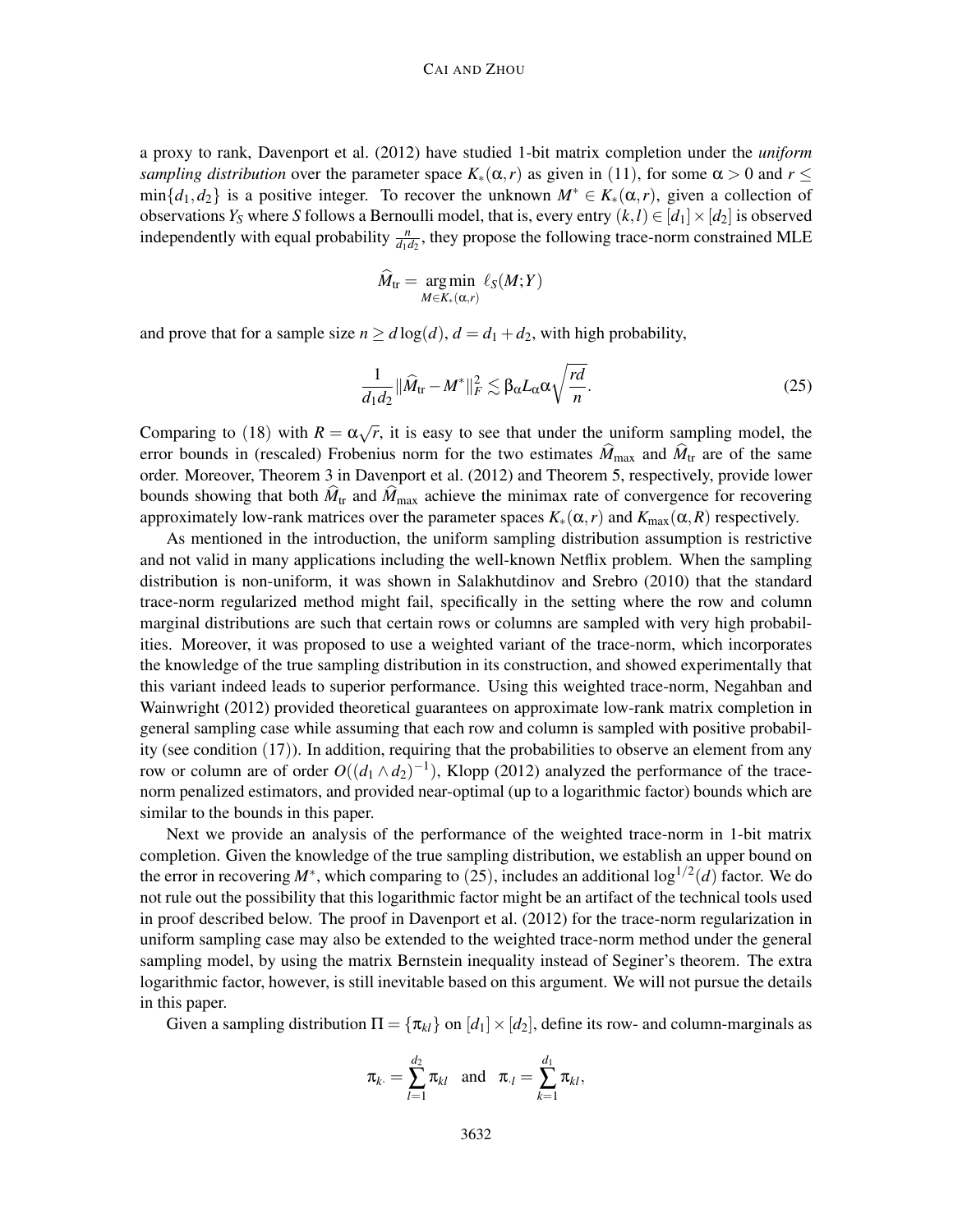a proxy to rank, Davenport et al. (2012) have studied 1-bit matrix completion under the *uniform sampling distribution* over the parameter space  $K_*(\alpha,r)$  as given in (11), for some  $\alpha > 0$  and  $r \leq$  $\min\{d_1, d_2\}$  is a positive integer. To recover the unknown  $M^* \in K_*(\alpha, r)$ , given a collection of observations *Y*<sub>S</sub> where *S* follows a Bernoulli model, that is, every entry  $(k, l) \in [d_1] \times [d_2]$  is observed independently with equal probability  $\frac{n}{d_1 d_2}$ , they propose the following trace-norm constrained MLE

$$
\widehat{M}_{\text{tr}} = \underset{M \in K_*(\alpha,r)}{\text{arg min}} \ell_S(M;Y)
$$

and prove that for a sample size  $n \ge d \log(d)$ ,  $d = d_1 + d_2$ , with high probability,

$$
\frac{1}{d_1 d_2} \|\widehat{M}_{\text{tr}} - M^*\|_F^2 \lesssim \beta_\alpha L_\alpha \alpha \sqrt{\frac{rd}{n}}.\tag{25}
$$

Comparing to (18) with  $R = \alpha \sqrt{r}$ , it is easy to see that under the uniform sampling model, the error bounds in (rescaled) Frobenius norm for the two estimates  $\hat{M}_{\text{max}}$  and  $\hat{M}_{\text{tr}}$  are of the same order. Moreover, Theorem 3 in Davenport et al. (2012) and Theorem 5, respectively, provide lower bounds showing that both  $\hat{M}_{tr}$  and  $\hat{M}_{max}$  achieve the minimax rate of convergence for recovering approximately low-rank matrices over the parameter spaces  $K_*(\alpha,r)$  and  $K_{\max}(\alpha,R)$  respectively.

As mentioned in the introduction, the uniform sampling distribution assumption is restrictive and not valid in many applications including the well-known Netflix problem. When the sampling distribution is non-uniform, it was shown in Salakhutdinov and Srebro (2010) that the standard trace-norm regularized method might fail, specifically in the setting where the row and column marginal distributions are such that certain rows or columns are sampled with very high probabilities. Moreover, it was proposed to use a weighted variant of the trace-norm, which incorporates the knowledge of the true sampling distribution in its construction, and showed experimentally that this variant indeed leads to superior performance. Using this weighted trace-norm, Negahban and Wainwright (2012) provided theoretical guarantees on approximate low-rank matrix completion in general sampling case while assuming that each row and column is sampled with positive probability (see condition (17)). In addition, requiring that the probabilities to observe an element from any row or column are of order  $O((d_1 \wedge d_2)^{-1})$ , Klopp (2012) analyzed the performance of the tracenorm penalized estimators, and provided near-optimal (up to a logarithmic factor) bounds which are similar to the bounds in this paper.

Next we provide an analysis of the performance of the weighted trace-norm in 1-bit matrix completion. Given the knowledge of the true sampling distribution, we establish an upper bound on the error in recovering  $M^*$ , which comparing to (25), includes an additional  $\log^{1/2}(d)$  factor. We do not rule out the possibility that this logarithmic factor might be an artifact of the technical tools used in proof described below. The proof in Davenport et al. (2012) for the trace-norm regularization in uniform sampling case may also be extended to the weighted trace-norm method under the general sampling model, by using the matrix Bernstein inequality instead of Seginer's theorem. The extra logarithmic factor, however, is still inevitable based on this argument. We will not pursue the details in this paper.

Given a sampling distribution  $\Pi = {\pi_{kl}}$  on  $[d_1] \times [d_2]$ , define its row- and column-marginals as

$$
\pi_{k} = \sum_{l=1}^{d_2} \pi_{kl}
$$
 and  $\pi_{l} = \sum_{k=1}^{d_1} \pi_{kl}$ ,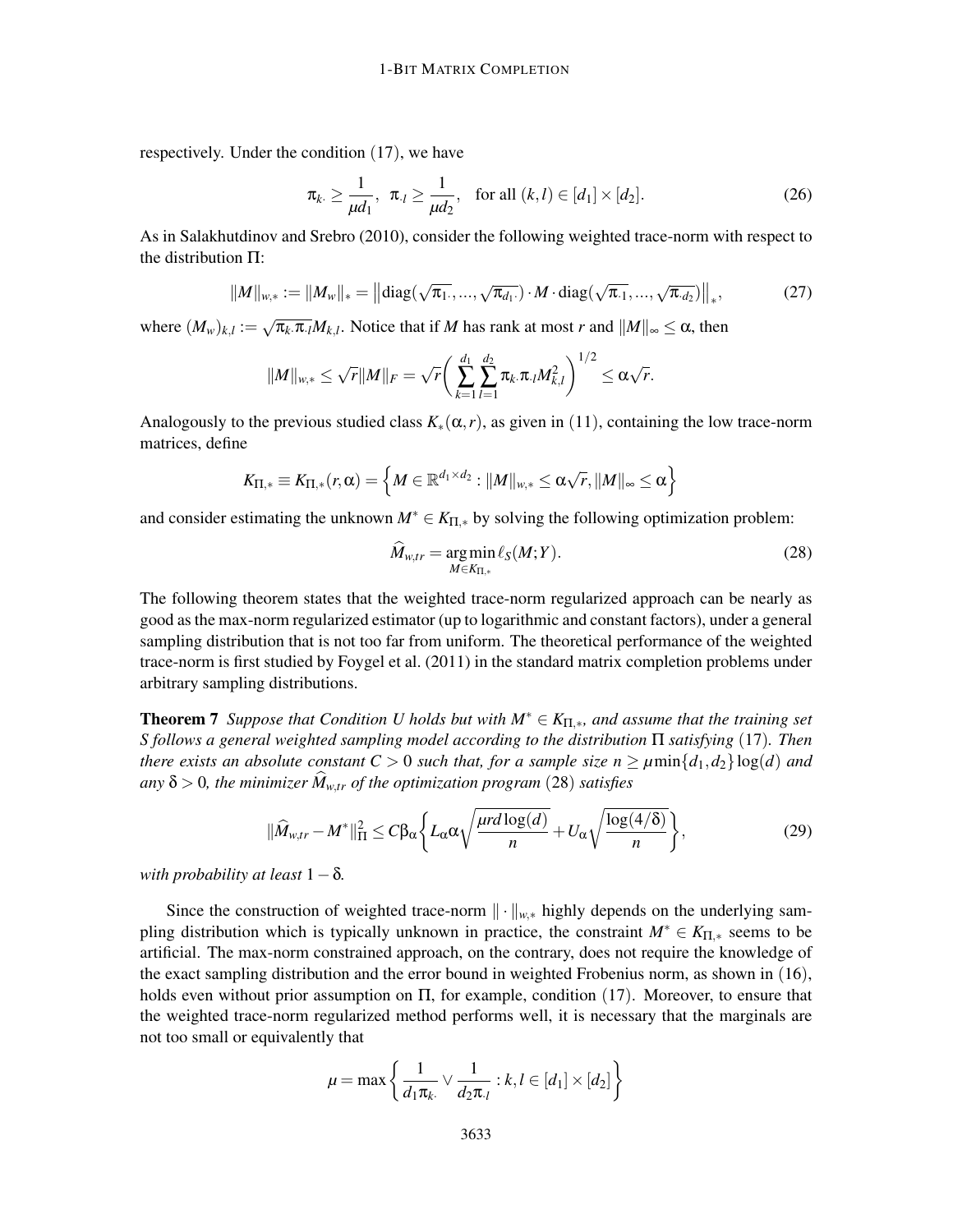respectively. Under the condition (17), we have

$$
\pi_{k} \ge \frac{1}{\mu d_1}, \ \pi_{l} \ge \frac{1}{\mu d_2}, \ \text{for all } (k, l) \in [d_1] \times [d_2]. \tag{26}
$$

As in Salakhutdinov and Srebro (2010), consider the following weighted trace-norm with respect to the distribution Π:

$$
||M||_{w,*} := ||M_w||_* = ||diag(\sqrt{\pi_1}, ..., \sqrt{\pi_{d_1}}) \cdot M \cdot diag(\sqrt{\pi_1}, ..., \sqrt{\pi_{d_2}})||_*,
$$
 (27)

where  $(M_w)_{k,l} := \sqrt{\pi_k \cdot \pi_l} M_{k,l}$ . Notice that if *M* has rank at most *r* and  $||M||_{\infty} \le \alpha$ , then

$$
||M||_{w,*} \leq \sqrt{r}||M||_F = \sqrt{r} \bigg( \sum_{k=1}^{d_1} \sum_{l=1}^{d_2} \pi_k . \pi . l M_{k,l}^2 \bigg)^{1/2} \leq \alpha \sqrt{r}.
$$

Analogously to the previous studied class  $K_*(\alpha, r)$ , as given in (11), containing the low trace-norm matrices, define

$$
K_{\Pi,*} \equiv K_{\Pi,*}(r,\alpha) = \left\{ M \in \mathbb{R}^{d_1 \times d_2} : \| M \|_{w,*} \leq \alpha \sqrt{r}, \| M \|_{\infty} \leq \alpha \right\}
$$

and consider estimating the unknown  $M^* \in K_{\Pi,*}$  by solving the following optimization problem:

$$
\widehat{M}_{w,tr} = \underset{M \in K_{\Pi,*}}{\arg \min} \ell_S(M;Y). \tag{28}
$$

The following theorem states that the weighted trace-norm regularized approach can be nearly as good as the max-norm regularized estimator (up to logarithmic and constant factors), under a general sampling distribution that is not too far from uniform. The theoretical performance of the weighted trace-norm is first studied by Foygel et al. (2011) in the standard matrix completion problems under arbitrary sampling distributions.

**Theorem 7** *Suppose that Condition U holds but with*  $M^* \in K_{\Pi,*}$ *, and assume that the training set S follows a general weighted sampling model according to the distribution* Π *satisfying* (17)*. Then there exists an absolute constant*  $C > 0$  *such that, for a sample size*  $n \ge \mu \min\{d_1, d_2\} \log(d)$  *and*  $a_n y \delta > 0$ , the minimizer  $\hat{M}_{w,tr}$  of the optimization program (28) satisfies

$$
\|\widehat{M}_{w,tr} - M^*\|_{\Pi}^2 \le C\beta_\alpha \left\{ L_\alpha \alpha \sqrt{\frac{\mu r d \log(d)}{n}} + U_\alpha \sqrt{\frac{\log(4/\delta)}{n}} \right\},\tag{29}
$$

*with probability at least* 1−δ*.*

Since the construction of weighted trace-norm  $\|\cdot\|_{w,*}$  highly depends on the underlying sampling distribution which is typically unknown in practice, the constraint  $M^* \in K_{\Pi,*}$  seems to be artificial. The max-norm constrained approach, on the contrary, does not require the knowledge of the exact sampling distribution and the error bound in weighted Frobenius norm, as shown in (16), holds even without prior assumption on  $\Pi$ , for example, condition (17). Moreover, to ensure that the weighted trace-norm regularized method performs well, it is necessary that the marginals are not too small or equivalently that

$$
\mu = \max \left\{ \frac{1}{d_1 \pi_k} \vee \frac{1}{d_2 \pi_l} : k, l \in [d_1] \times [d_2] \right\}
$$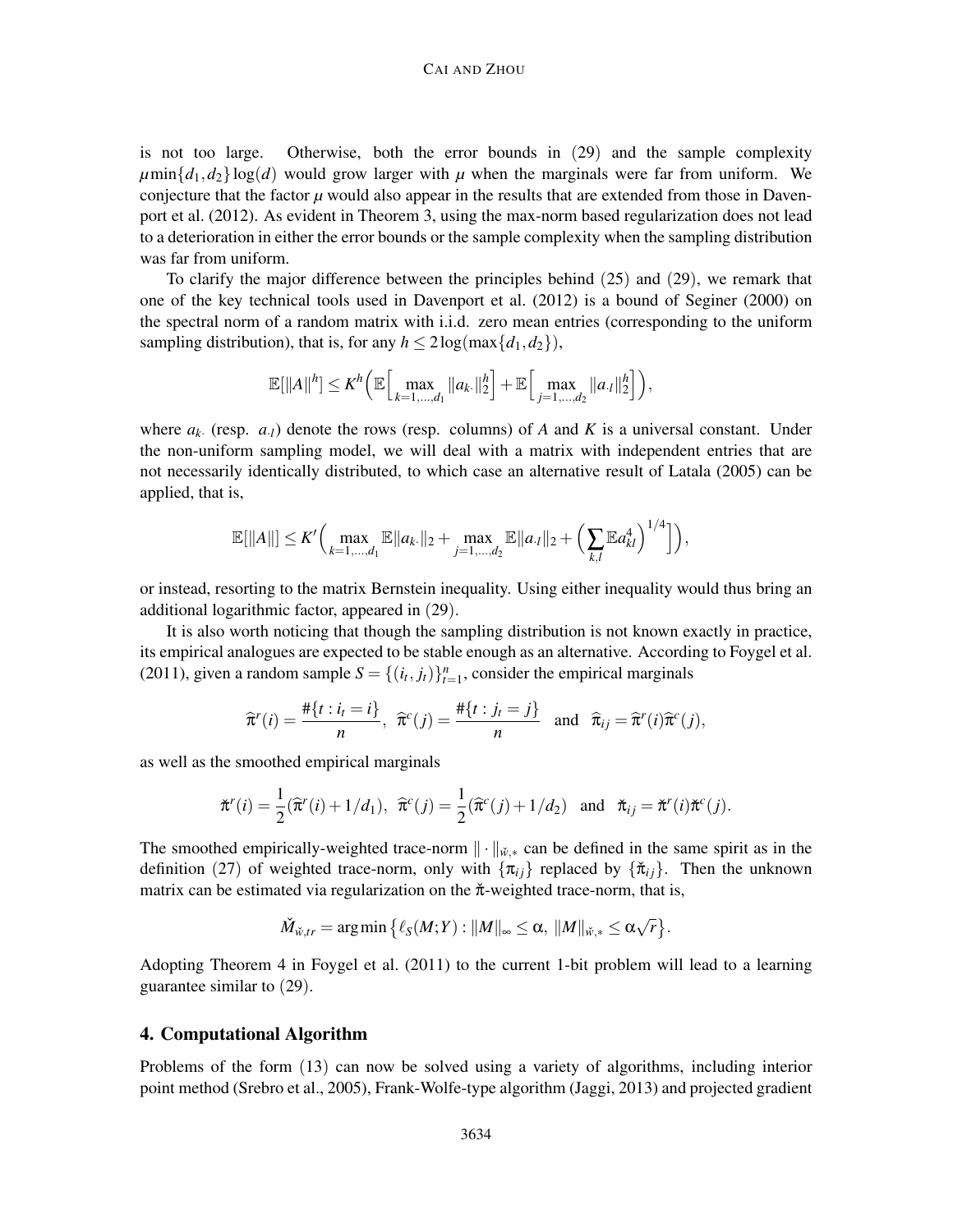#### CAI AND ZHOU

is not too large. Otherwise, both the error bounds in (29) and the sample complexity  $\mu$ min $\{d_1, d_2\}$ log(*d*) would grow larger with  $\mu$  when the marginals were far from uniform. We conjecture that the factor  $\mu$  would also appear in the results that are extended from those in Davenport et al. (2012). As evident in Theorem 3, using the max-norm based regularization does not lead to a deterioration in either the error bounds or the sample complexity when the sampling distribution was far from uniform.

To clarify the major difference between the principles behind (25) and (29), we remark that one of the key technical tools used in Davenport et al. (2012) is a bound of Seginer (2000) on the spectral norm of a random matrix with i.i.d. zero mean entries (corresponding to the uniform sampling distribution), that is, for any  $h \leq 2\log(\max\{d_1, d_2\})$ ,

$$
\mathbb{E}[\|A\|^h] \leq K^h \bigg( \mathbb{E} \Big[ \max_{k=1,\ldots,d_1} \|a_k\|^h_2 \Big] + \mathbb{E} \Big[ \max_{j=1,\ldots,d_2} \|a_{\cdot l}\|^h_2 \Big] \bigg),
$$

where  $a_k$ . (resp.  $a_i$ ) denote the rows (resp. columns) of *A* and *K* is a universal constant. Under the non-uniform sampling model, we will deal with a matrix with independent entries that are not necessarily identically distributed, to which case an alternative result of Latala (2005) can be applied, that is,

$$
\mathbb{E}[\|A\|] \leq K' \Big( \max_{k=1,\ldots,d_1} \mathbb{E} \|a_k\|_2 + \max_{j=1,\ldots,d_2} \mathbb{E} \|a_{\cdot l}\|_2 + \Big( \sum_{k,l} \mathbb{E} a_{kl}^4 \Big)^{1/4} \Big] \Big),
$$

or instead, resorting to the matrix Bernstein inequality. Using either inequality would thus bring an additional logarithmic factor, appeared in (29).

It is also worth noticing that though the sampling distribution is not known exactly in practice, its empirical analogues are expected to be stable enough as an alternative. According to Foygel et al. (2011), given a random sample  $S = \{(i_t, j_t)\}_{t=1}^n$ , consider the empirical marginals

$$
\widehat{\pi}^r(i) = \frac{\#\{t : i_t = i\}}{n}, \ \widehat{\pi}^c(j) = \frac{\#\{t : j_t = j\}}{n} \ \text{and} \ \widehat{\pi}_{ij} = \widehat{\pi}^r(i)\widehat{\pi}^c(j),
$$

as well as the smoothed empirical marginals

$$
\check{\pi}^r(i) = \frac{1}{2}(\widehat{\pi}^r(i) + 1/d_1), \quad \widehat{\pi}^c(j) = \frac{1}{2}(\widehat{\pi}^c(j) + 1/d_2) \quad \text{and} \quad \check{\pi}_{ij} = \check{\pi}^r(i)\check{\pi}^c(j).
$$

The smoothed empirically-weighted trace-norm  $\|\cdot\|_{\breve{w},*}$  can be defined in the same spirit as in the definition (27) of weighted trace-norm, only with  $\{\pi_{ij}\}\$  replaced by  $\{\check{\pi}_{ij}\}\$ . Then the unknown matrix can be estimated via regularization on the  $\tilde{\pi}$ -weighted trace-norm, that is,

$$
\check{M}_{\check{w},tr} = \arg\min\big\{\ell_S(M;Y): ||M||_\infty \leq \alpha, ||M||_{\check{w},*} \leq \alpha\sqrt{r}\big\}.
$$

Adopting Theorem 4 in Foygel et al. (2011) to the current 1-bit problem will lead to a learning guarantee similar to (29).

# 4. Computational Algorithm

Problems of the form (13) can now be solved using a variety of algorithms, including interior point method (Srebro et al., 2005), Frank-Wolfe-type algorithm (Jaggi, 2013) and projected gradient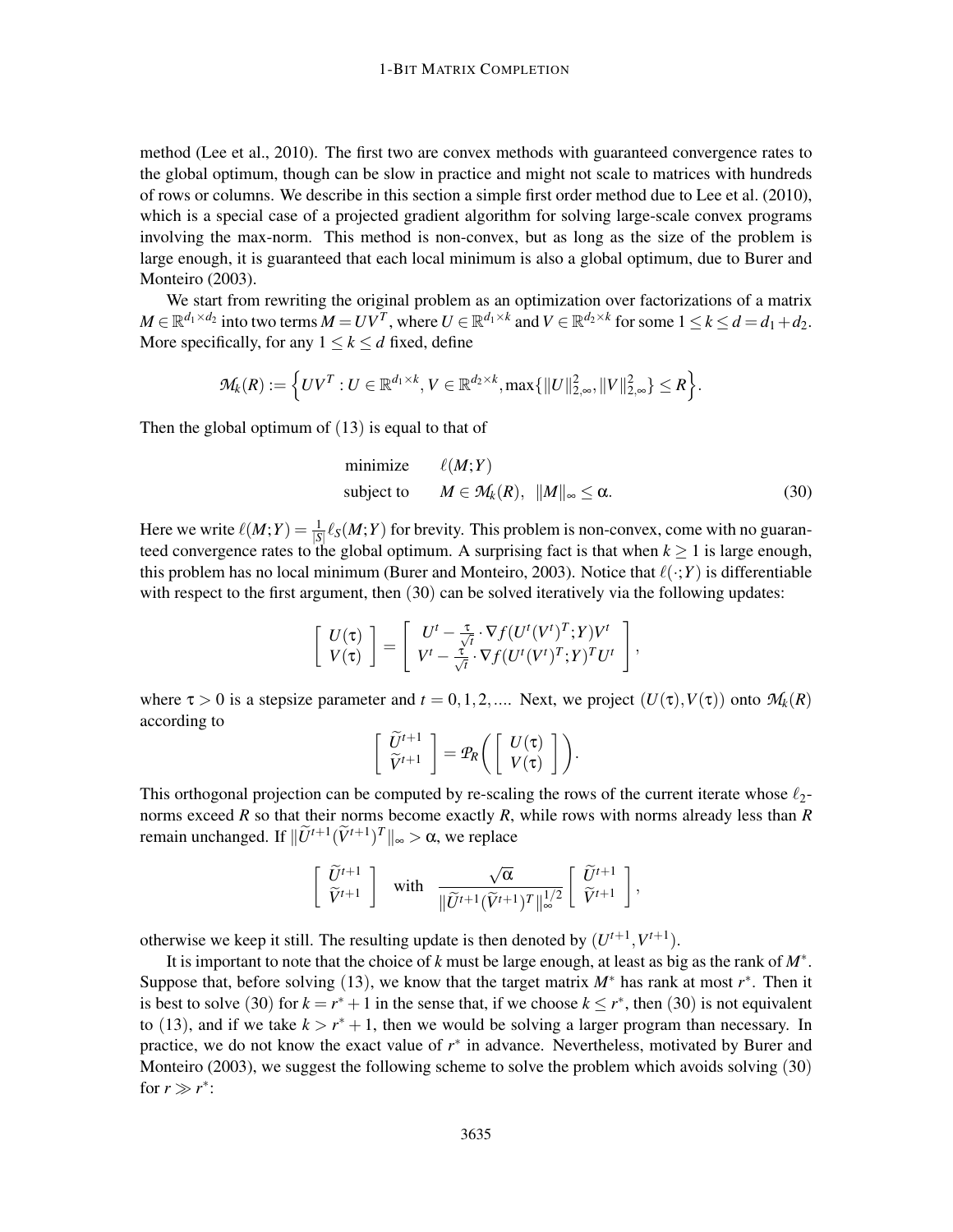method (Lee et al., 2010). The first two are convex methods with guaranteed convergence rates to the global optimum, though can be slow in practice and might not scale to matrices with hundreds of rows or columns. We describe in this section a simple first order method due to Lee et al. (2010), which is a special case of a projected gradient algorithm for solving large-scale convex programs involving the max-norm. This method is non-convex, but as long as the size of the problem is large enough, it is guaranteed that each local minimum is also a global optimum, due to Burer and Monteiro (2003).

We start from rewriting the original problem as an optimization over factorizations of a matrix  $M \in \mathbb{R}^{d_1 \times d_2}$  into two terms  $M = UV^T$ , where  $U \in \mathbb{R}^{d_1 \times k}$  and  $V \in \mathbb{R}^{d_2 \times k}$  for some  $1 \le k \le d = d_1 + d_2$ . More specifically, for any  $1 \leq k \leq d$  fixed, define

$$
\mathcal{M}_k(R):=\Big\{UV^T:U\in\mathbb{R}^{d_1\times k},V\in\mathbb{R}^{d_2\times k},\max\{\|U\|_{2,\infty}^2,\|V\|_{2,\infty}^2\}\leq R\Big\}.
$$

Then the global optimum of  $(13)$  is equal to that of

minimize 
$$
\ell(M;Y)
$$
  
subject to  $M \in \mathcal{M}_k(R)$ ,  $||M||_{\infty} \le \alpha$ . (30)

Here we write  $\ell(M;Y) = \frac{1}{|S|} \ell_S(M;Y)$  for brevity. This problem is non-convex, come with no guaranteed convergence rates to the global optimum. A surprising fact is that when  $k \ge 1$  is large enough, this problem has no local minimum (Burer and Monteiro, 2003). Notice that  $\ell(\cdot;Y)$  is differentiable with respect to the first argument, then (30) can be solved iteratively via the following updates:

$$
\left[\begin{array}{c} U(\tau) \\ V(\tau) \end{array}\right] = \left[\begin{array}{c} U^t - \frac{\tau}{\sqrt{t}} \cdot \nabla f(U^t(V^t)^T;Y)V^t \\ V^t - \frac{\tau}{\sqrt{t}} \cdot \nabla f(U^t(V^t)^T;Y)^T U^t \end{array}\right],
$$

where  $\tau > 0$  is a stepsize parameter and  $t = 0, 1, 2, ...$  Next, we project  $(U(\tau), V(\tau))$  onto  $\mathcal{M}_k(R)$ according to

$$
\left[\begin{array}{c}\widetilde{U}^{t+1} \\ \widetilde{V}^{t+1}\end{array}\right]=\mathcal{P}_R\bigg(\left[\begin{array}{c}U(\tau) \\ V(\tau)\end{array}\right]\bigg).
$$

This orthogonal projection can be computed by re-scaling the rows of the current iterate whose  $\ell_2$ norms exceed *R* so that their norms become exactly *R*, while rows with norms already less than *R* remain unchanged. If  $\|\widetilde{U}^{t+1}(\widetilde{V}^{t+1})^T\|_{\infty} > \alpha$ , we replace

$$
\begin{bmatrix}\n\widetilde{U}^{t+1} \\
\widetilde{V}^{t+1}\n\end{bmatrix}\n\quad \text{with} \quad \frac{\sqrt{\alpha}}{\|\widetilde{U}^{t+1}(\widetilde{V}^{t+1})^T\|_{\infty}^{1/2}} \begin{bmatrix}\n\widetilde{U}^{t+1} \\
\widetilde{V}^{t+1}\n\end{bmatrix},
$$

otherwise we keep it still. The resulting update is then denoted by  $(U^{t+1}, V^{t+1})$ .

It is important to note that the choice of *k* must be large enough, at least as big as the rank of *M*∗ . Suppose that, before solving (13), we know that the target matrix  $M^*$  has rank at most  $r^*$ . Then it is best to solve (30) for  $k = r^* + 1$  in the sense that, if we choose  $k \le r^*$ , then (30) is not equivalent to (13), and if we take  $k > r^* + 1$ , then we would be solving a larger program than necessary. In practice, we do not know the exact value of  $r^*$  in advance. Nevertheless, motivated by Burer and Monteiro (2003), we suggest the following scheme to solve the problem which avoids solving (30) for  $r \gg r^*$ :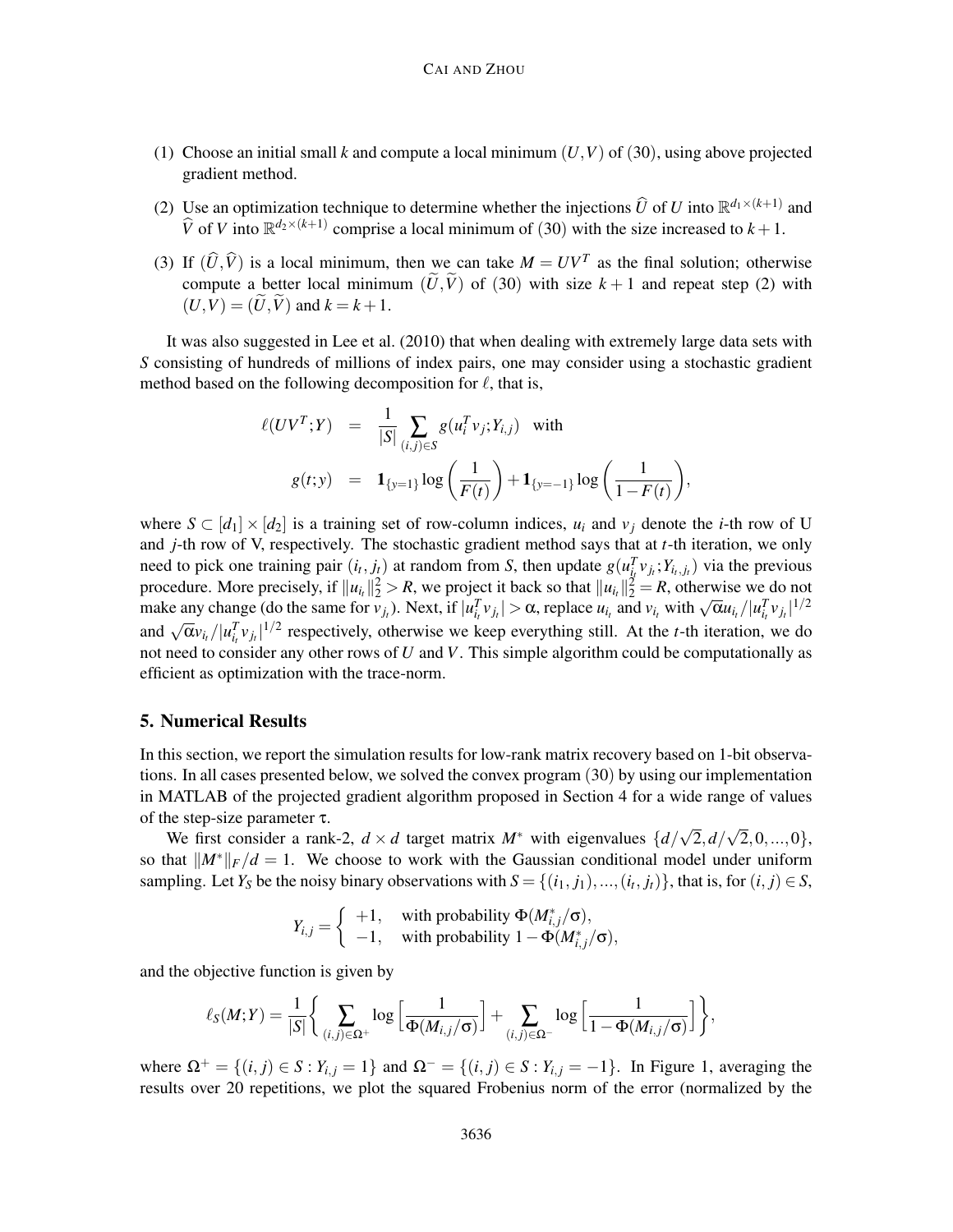- (1) Choose an initial small *k* and compute a local minimum  $(U, V)$  of (30), using above projected gradient method.
- (2) Use an optimization technique to determine whether the injections  $\widehat{U}$  of *U* into  $\mathbb{R}^{d_1 \times (k+1)}$  and  $\hat{V}$  of *V* into  $\mathbb{R}^{d_2 \times (k+1)}$  comprise a local minimum of (30) with the size increased to  $k + 1$ .
- (3) If  $(\widehat{U}, \widehat{V})$  is a local minimum, then we can take  $M = UV^T$  as the final solution; otherwise compute a better local minimum  $(\tilde{U}, \tilde{V})$  of (30) with size  $k+1$  and repeat step (2) with  $(U, V) = (\tilde{U}, \tilde{V})$  and  $k = k + 1$ .

It was also suggested in Lee et al. (2010) that when dealing with extremely large data sets with *S* consisting of hundreds of millions of index pairs, one may consider using a stochastic gradient method based on the following decomposition for  $\ell$ , that is,

$$
\ell(UV^{T};Y) = \frac{1}{|S|} \sum_{(i,j)\in S} g(u_{i}^{T} v_{j}; Y_{i,j}) \text{ with}
$$
  

$$
g(t; y) = \mathbf{1}_{\{y=1\}} \log \left(\frac{1}{F(t)}\right) + \mathbf{1}_{\{y=-1\}} \log \left(\frac{1}{1-F(t)}\right),
$$

where  $S \subset [d_1] \times [d_2]$  is a training set of row-column indices,  $u_i$  and  $v_j$  denote the *i*-th row of U and *j*-th row of V, respectively. The stochastic gradient method says that at *t*-th iteration, we only need to pick one training pair  $(i_t, j_t)$  at random from S, then update  $g(u_{i_t}^T v_{j_t}; Y_{i_t, j_t})$  via the previous procedure. More precisely, if  $||u_{i_t}||_2^2 > R$ , we project it back so that  $||u_{i_t}||_2^2 = R$ , otherwise we do not make any change (do the same for  $v_{j_l}$ ). Next, if  $|u_{i_l}^T v_{j_l}| > \alpha$ , replace  $u_{i_l}$  and  $v_{i_l}$  with  $\sqrt{\alpha}u_{i_l}/|u_{i_l}^T v_{j_l}|^{1/2}$ and  $\sqrt{\alpha}v_{i}$  / $|u_{i}^{T}v_{j}$ <sub>*i*</sub><sup>1/2</sup> respectively, otherwise we keep everything still. At the *t*-th iteration, we do not need to consider any other rows of *U* and *V*. This simple algorithm could be computationally as efficient as optimization with the trace-norm.

# 5. Numerical Results

In this section, we report the simulation results for low-rank matrix recovery based on 1-bit observations. In all cases presented below, we solved the convex program (30) by using our implementation in MATLAB of the projected gradient algorithm proposed in Section 4 for a wide range of values of the step-size parameter τ.

We first consider a rank-2,  $d \times d$  target matrix  $M^*$  with eigenvalues  $\{d/\sqrt{2}, d/\sqrt{2}, 0, ..., 0\}$ , so that  $||M^*||_F/d = 1$ . We choose to work with the Gaussian conditional model under uniform sampling. Let *Y*<sub>S</sub> be the noisy binary observations with  $S = \{(i_1, j_1), ..., (i_t, j_t)\}$ , that is, for  $(i, j) \in S$ ,

$$
Y_{i,j} = \begin{cases} +1, & \text{with probability } \Phi(M^*_{i,j}/\sigma), \\ -1, & \text{with probability } 1 - \Phi(M^*_{i,j}/\sigma), \end{cases}
$$

and the objective function is given by

$$
\ell_S(M;Y) = \frac{1}{|S|} \bigg\{ \sum_{(i,j) \in \Omega^+} \log \Big[ \frac{1}{\Phi(M_{i,j}/\sigma)} \Big] + \sum_{(i,j) \in \Omega^-} \log \Big[ \frac{1}{1 - \Phi(M_{i,j}/\sigma)} \Big] \bigg\},
$$

where  $Ω$ <sup>+</sup> = {(*i*, *j*) ∈ *S* : *Y*<sub>*i*, *j*</sub> = 1} and  $Ω$ <sup>−</sup> = {(*i*, *j*) ∈ *S* : *Y*<sub>*i*, *j*</sub> = −1}. In Figure 1, averaging the results over 20 repetitions, we plot the squared Frobenius norm of the error (normalized by the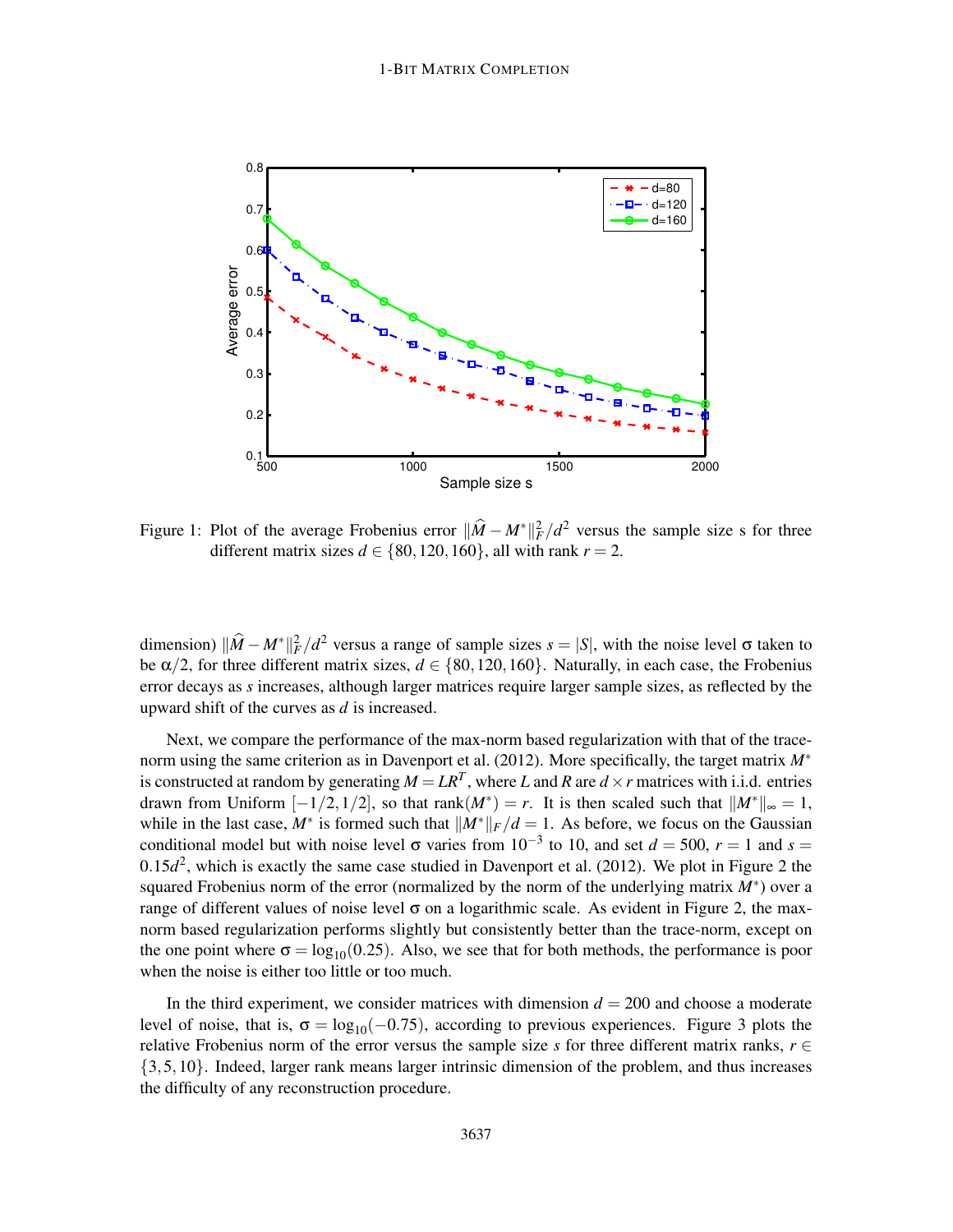

Figure 1: Plot of the average Frobenius error  $\|\hat{M} - M^*\|_F^2 / d^2$  versus the sample size s for three different matrix sizes  $d \in \{80, 120, 160\}$ , all with rank  $r = 2$ .

dimension)  $\|\hat{M} - M^*\|_F^2 / d^2$  versus a range of sample sizes  $s = |S|$ , with the noise level  $\sigma$  taken to be  $\alpha/2$ , for three different matrix sizes,  $d \in \{80, 120, 160\}$ . Naturally, in each case, the Frobenius error decays as *s* increases, although larger matrices require larger sample sizes, as reflected by the upward shift of the curves as *d* is increased.

Next, we compare the performance of the max-norm based regularization with that of the tracenorm using the same criterion as in Davenport et al. (2012). More specifically, the target matrix *M*∗ is constructed at random by generating  $M = LR^T$ , where *L* and *R* are  $d \times r$  matrices with i.i.d. entries drawn from Uniform  $[-1/2, 1/2]$ , so that  $rank(M^*) = r$ . It is then scaled such that  $\|M^*\|_{\infty} = 1$ , while in the last case,  $M^*$  is formed such that  $||M^*||_F/d = 1$ . As before, we focus on the Gaussian conditional model but with noise level  $\sigma$  varies from 10<sup>-3</sup> to 10, and set  $d = 500$ ,  $r = 1$  and  $s =$  $0.15d^2$ , which is exactly the same case studied in Davenport et al. (2012). We plot in Figure 2 the squared Frobenius norm of the error (normalized by the norm of the underlying matrix *M*<sup>∗</sup>) over a range of different values of noise level  $\sigma$  on a logarithmic scale. As evident in Figure 2, the maxnorm based regularization performs slightly but consistently better than the trace-norm, except on the one point where  $\sigma = \log_{10}(0.25)$ . Also, we see that for both methods, the performance is poor when the noise is either too little or too much.

In the third experiment, we consider matrices with dimension  $d = 200$  and choose a moderate level of noise, that is,  $\sigma = \log_{10}(-0.75)$ , according to previous experiences. Figure 3 plots the relative Frobenius norm of the error versus the sample size *s* for three different matrix ranks,  $r \in$ {3,5,10}. Indeed, larger rank means larger intrinsic dimension of the problem, and thus increases the difficulty of any reconstruction procedure.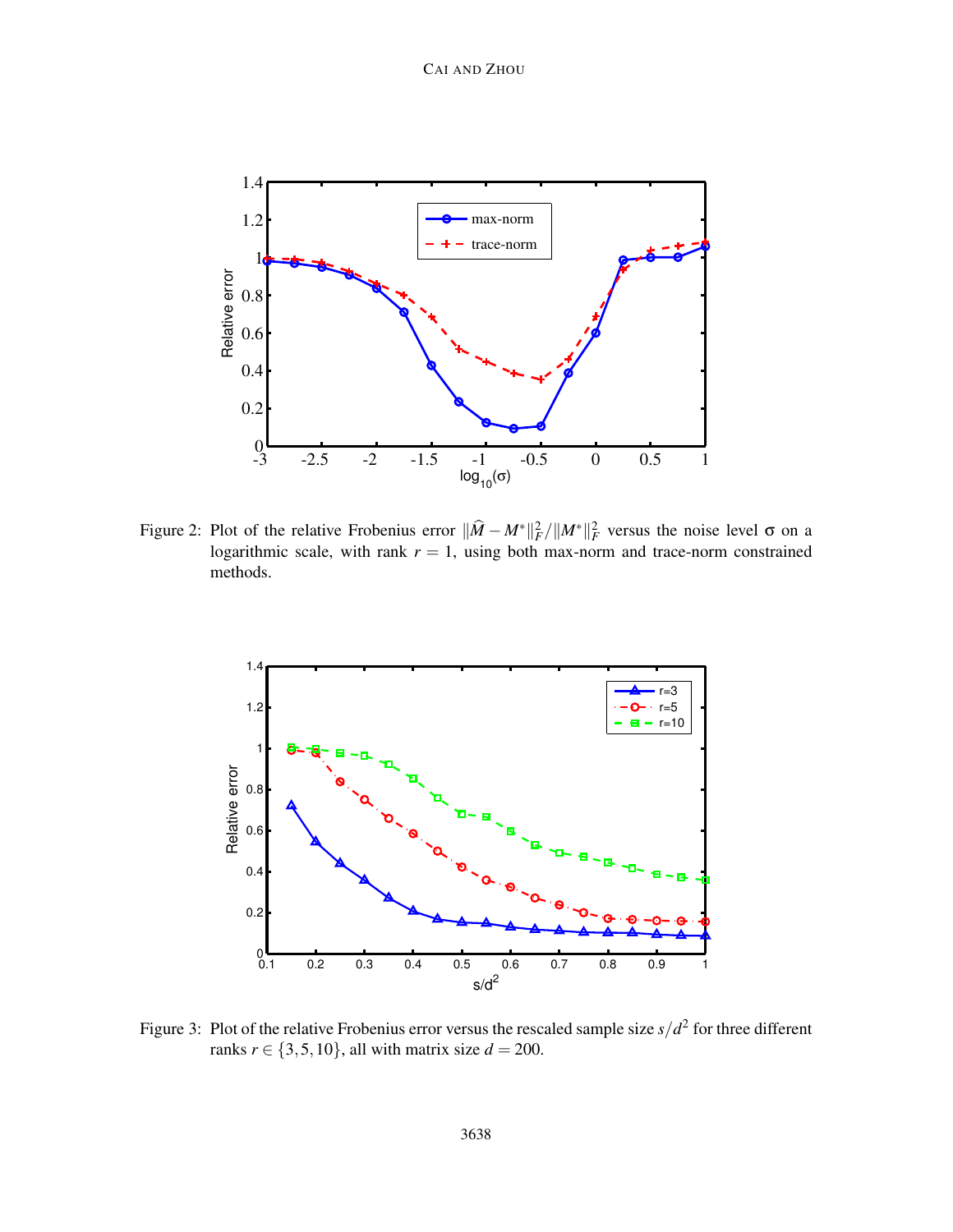

Figure 2: Plot of the relative Frobenius error  $\|\widehat{M} - M^*\|_F^2 / \|M^*\|_F^2$  versus the noise level  $\sigma$  on a logarithmic scale, with rank  $r = 1$ , using both max-norm and trace-norm constrained methods.



Figure 3: Plot of the relative Frobenius error versus the rescaled sample size  $s/d^2$  for three different ranks  $r \in \{3, 5, 10\}$ , all with matrix size  $d = 200$ .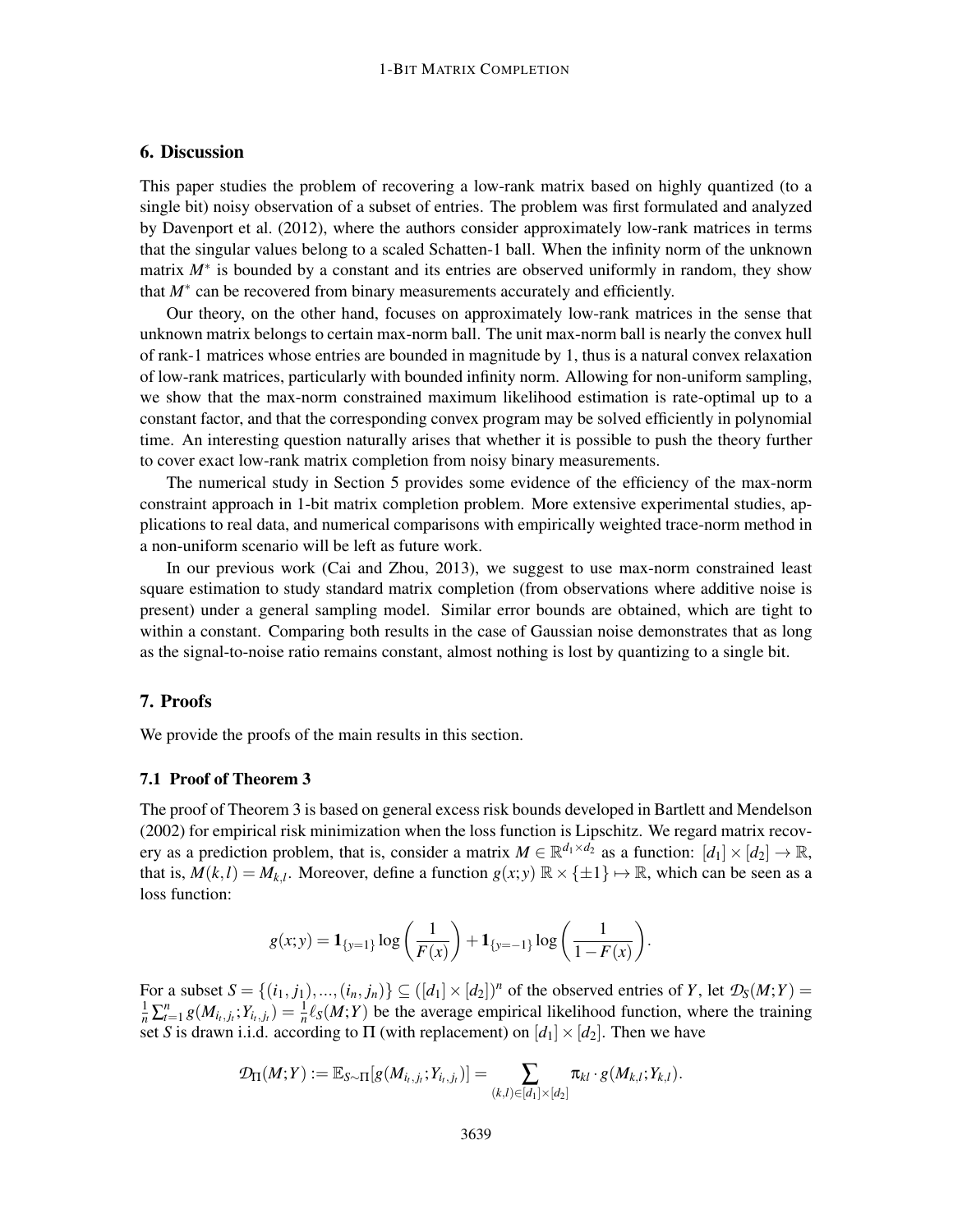# 6. Discussion

This paper studies the problem of recovering a low-rank matrix based on highly quantized (to a single bit) noisy observation of a subset of entries. The problem was first formulated and analyzed by Davenport et al. (2012), where the authors consider approximately low-rank matrices in terms that the singular values belong to a scaled Schatten-1 ball. When the infinity norm of the unknown matrix *M*<sup>∗</sup> is bounded by a constant and its entries are observed uniformly in random, they show that *M*∗ can be recovered from binary measurements accurately and efficiently.

Our theory, on the other hand, focuses on approximately low-rank matrices in the sense that unknown matrix belongs to certain max-norm ball. The unit max-norm ball is nearly the convex hull of rank-1 matrices whose entries are bounded in magnitude by 1, thus is a natural convex relaxation of low-rank matrices, particularly with bounded infinity norm. Allowing for non-uniform sampling, we show that the max-norm constrained maximum likelihood estimation is rate-optimal up to a constant factor, and that the corresponding convex program may be solved efficiently in polynomial time. An interesting question naturally arises that whether it is possible to push the theory further to cover exact low-rank matrix completion from noisy binary measurements.

The numerical study in Section 5 provides some evidence of the efficiency of the max-norm constraint approach in 1-bit matrix completion problem. More extensive experimental studies, applications to real data, and numerical comparisons with empirically weighted trace-norm method in a non-uniform scenario will be left as future work.

In our previous work (Cai and Zhou, 2013), we suggest to use max-norm constrained least square estimation to study standard matrix completion (from observations where additive noise is present) under a general sampling model. Similar error bounds are obtained, which are tight to within a constant. Comparing both results in the case of Gaussian noise demonstrates that as long as the signal-to-noise ratio remains constant, almost nothing is lost by quantizing to a single bit.

# 7. Proofs

We provide the proofs of the main results in this section.

# 7.1 Proof of Theorem 3

The proof of Theorem 3 is based on general excess risk bounds developed in Bartlett and Mendelson (2002) for empirical risk minimization when the loss function is Lipschitz. We regard matrix recovery as a prediction problem, that is, consider a matrix  $M \in \mathbb{R}^{d_1 \times d_2}$  as a function:  $[d_1] \times [d_2] \to \mathbb{R}$ , that is,  $M(k, l) = M_{k, l}$ . Moreover, define a function  $g(x, y) \mathbb{R} \times {\pm 1} \rightarrow \mathbb{R}$ , which can be seen as a loss function:

$$
g(x; y) = \mathbf{1}_{\{y=1\}} \log \left( \frac{1}{F(x)} \right) + \mathbf{1}_{\{y=-1\}} \log \left( \frac{1}{1 - F(x)} \right).
$$

For a subset  $S = \{(i_1, j_1), ..., (i_n, j_n)\} \subseteq (\lfloor d_1 \rfloor \times \lfloor d_2 \rfloor)^n$  of the observed entries of *Y*, let  $\mathcal{D}_S(M;Y) =$  $\frac{1}{n}\sum_{t=1}^{n}g(M_{i_t,j_t};Y_{i_t,j_t}) = \frac{1}{n}\ell_S(M;Y)$  be the average empirical likelihood function, where the training set *S* is drawn i.i.d. according to  $\Pi$  (with replacement) on  $[d_1] \times [d_2]$ . Then we have

$$
\mathcal{D}_{\Pi}(M;Y) := \mathbb{E}_{S \sim \Pi}[g(M_{i_t,j_t};Y_{i_t,j_t})] = \sum_{(k,l) \in [d_1] \times [d_2]} \pi_{kl} \cdot g(M_{k,l};Y_{k,l}).
$$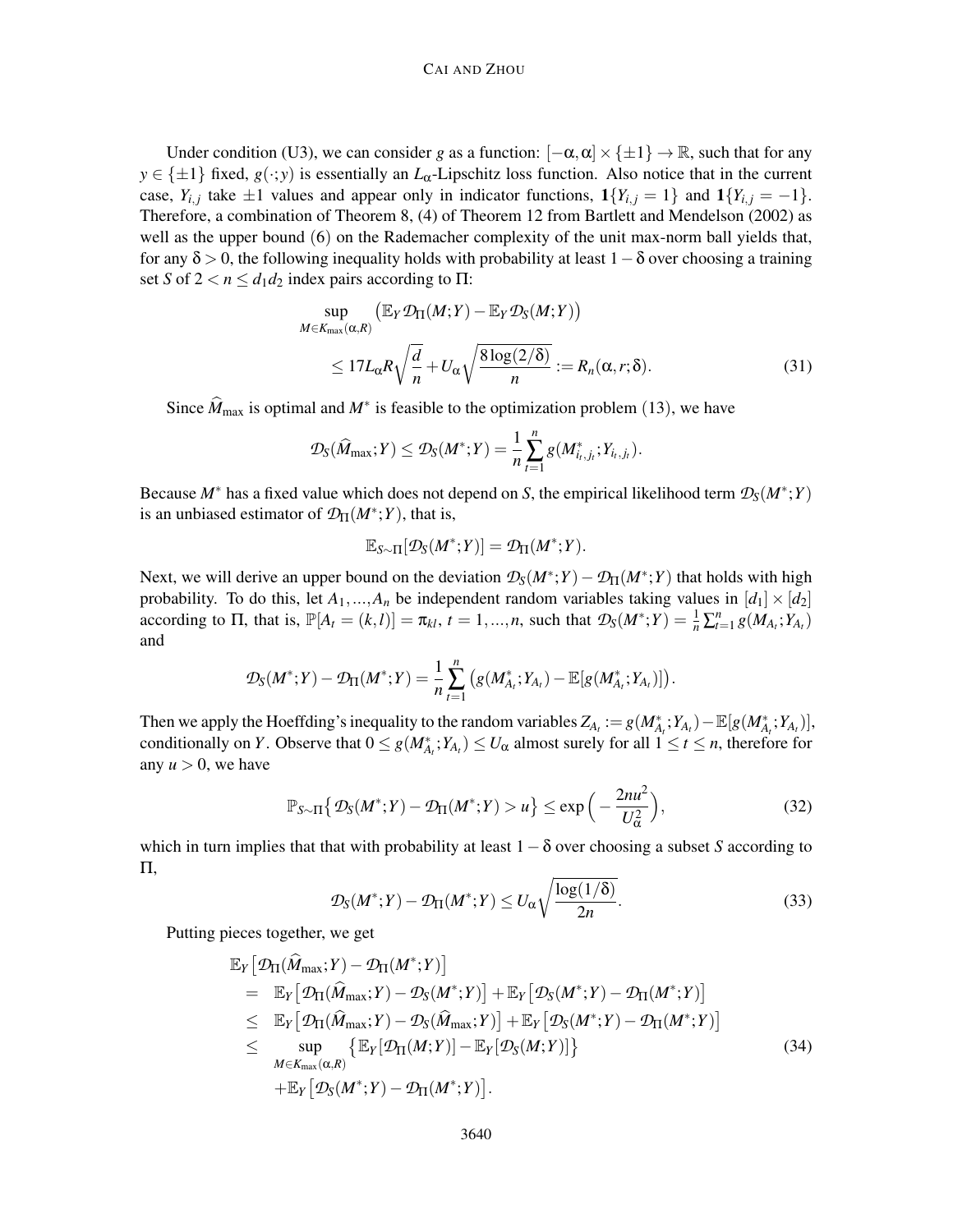#### CAI AND ZHOU

Under condition (U3), we can consider *g* as a function:  $[-\alpha, \alpha] \times \{\pm 1\} \to \mathbb{R}$ , such that for any  $y \in {\pm 1}$  fixed,  $g(\cdot; y)$  is essentially an *L*<sub>α</sub>-Lipschitz loss function. Also notice that in the current case,  $Y_{i,j}$  take  $\pm 1$  values and appear only in indicator functions,  $\mathbf{1}\{Y_{i,j} = 1\}$  and  $\mathbf{1}\{Y_{i,j} = -1\}$ . Therefore, a combination of Theorem 8, (4) of Theorem 12 from Bartlett and Mendelson (2002) as well as the upper bound (6) on the Rademacher complexity of the unit max-norm ball yields that, for any  $\delta > 0$ , the following inequality holds with probability at least  $1-\delta$  over choosing a training set *S* of  $2 < n \le d_1 d_2$  index pairs according to  $\Pi$ :

$$
\sup_{\substack{\in K_{\max}(\alpha,R) \\ \leq 17L_{\alpha}R\sqrt{\frac{d}{n}} + U_{\alpha}\sqrt{\frac{8\log(2/\delta)}{n}}} = R_n(\alpha, r; \delta).
$$
\n(31)

Since  $M_{\text{max}}$  is optimal and  $M^*$  is feasible to the optimization problem (13), we have

$$
\mathcal{D}_S(\widehat{M}_{\max}; Y) \leq \mathcal{D}_S(M^*; Y) = \frac{1}{n} \sum_{t=1}^n g(M^*_{i_t,j_t}; Y_{i_t,j_t}).
$$

Because *M*<sup>∗</sup> has a fixed value which does not depend on *S*, the empirical likelihood term *DS*(*M*<sup>∗</sup> ;*Y*) is an unbiased estimator of  $\mathcal{D}_{\Pi}(M^*;Y)$ , that is,

$$
\mathbb{E}_{S \sim \Pi}[\mathcal{D}_S(M^*;Y)] = \mathcal{D}_{\Pi}(M^*;Y).
$$

Next, we will derive an upper bound on the deviation  $\mathcal{D}_S(M^*;Y) - \mathcal{D}_{\Pi}(M^*;Y)$  that holds with high probability. To do this, let  $A_1, ..., A_n$  be independent random variables taking values in  $[d_1] \times [d_2]$ according to  $\Pi$ , that is,  $\mathbb{P}[A_t = (k, l)] = \pi_{kl}$ ,  $t = 1, ..., n$ , such that  $\mathcal{D}_S(M^*; Y) = \frac{1}{n} \sum_{t=1}^n g(M_{A_t}; Y_{A_t})$ and

$$
\mathcal{D}_S(M^*;Y) - \mathcal{D}_{\Pi}(M^*;Y) = \frac{1}{n} \sum_{t=1}^n (g(M^*_{A_t};Y_{A_t}) - \mathbb{E}[g(M^*_{A_t};Y_{A_t})]).
$$

Then we apply the Hoeffding's inequality to the random variables  $Z_{A_t} := g(M_{A_t}^*; Y_{A_t}) - \mathbb{E}[g(M_{A_t}^*; Y_{A_t})],$ conditionally on *Y*. Observe that  $0 \le g(M^*_{A_t}; Y_{A_t}) \le U_\alpha$  almost surely for all  $1 \le t \le n$ , therefore for any  $u > 0$ , we have

$$
\mathbb{P}_{S \sim \Pi} \{ \mathcal{D}_S(M^*;Y) - \mathcal{D}_{\Pi}(M^*;Y) > u \} \le \exp\left(-\frac{2nu^2}{U_\alpha^2}\right),\tag{32}
$$

which in turn implies that that with probability at least  $1-\delta$  over choosing a subset *S* according to Π,

$$
\mathcal{D}_S(M^*;Y) - \mathcal{D}_{\Pi}(M^*;Y) \le U_\alpha \sqrt{\frac{\log(1/\delta)}{2n}}.
$$
\n(33)

Putting pieces together, we get

*M* 

$$
\mathbb{E}_{Y} \big[ \mathcal{D}_{\Pi}(\hat{M}_{\max}; Y) - \mathcal{D}_{\Pi}(M^{*}; Y) \big] \n= \mathbb{E}_{Y} \big[ \mathcal{D}_{\Pi}(\hat{M}_{\max}; Y) - \mathcal{D}_{S}(M^{*}; Y) \big] + \mathbb{E}_{Y} \big[ \mathcal{D}_{S}(M^{*}; Y) - \mathcal{D}_{\Pi}(M^{*}; Y) \big] \n\leq \mathbb{E}_{Y} \big[ \mathcal{D}_{\Pi}(\hat{M}_{\max}; Y) - \mathcal{D}_{S}(\hat{M}_{\max}; Y) \big] + \mathbb{E}_{Y} \big[ \mathcal{D}_{S}(M^{*}; Y) - \mathcal{D}_{\Pi}(M^{*}; Y) \big] \n\leq \sup_{M \in K_{\max}(\alpha, R)} \{ \mathbb{E}_{Y} \big[ \mathcal{D}_{\Pi}(M; Y) \big] - \mathbb{E}_{Y} \big[ \mathcal{D}_{S}(M; Y) \big] \} \n+ \mathbb{E}_{Y} \big[ \mathcal{D}_{S}(M^{*}; Y) - \mathcal{D}_{\Pi}(M^{*}; Y) \big].
$$
\n(34)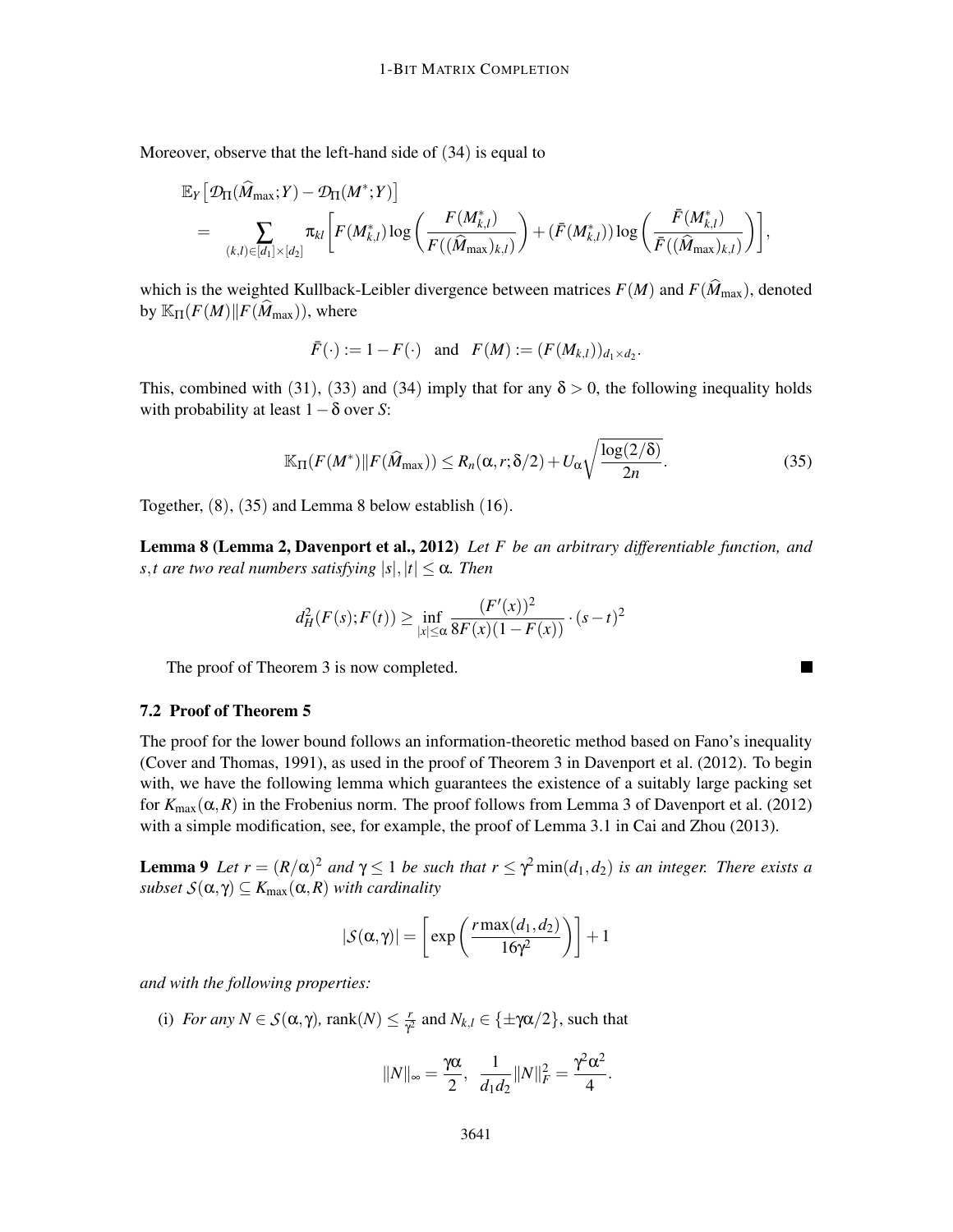Moreover, observe that the left-hand side of (34) is equal to

$$
\begin{aligned} &\mathbb{E}_Y\big[\mathcal{D}_\Pi(\widehat{M}_{\max};Y)-\mathcal{D}_\Pi(M^*;Y)\big] \\ &= \sum_{(k,l) \in [d_1] \times [d_2]} \pi_{kl}\bigg[F(M^*_{k,l})\log\bigg(\frac{F(M^*_{k,l})}{F((\widehat{M}_{\max})_{k,l})}\bigg) + (\bar{F}(M^*_{k,l}))\log\bigg(\frac{\bar{F}(M^*_{k,l})}{\bar{F}((\widehat{M}_{\max})_{k,l})}\bigg)\bigg], \end{aligned}
$$

which is the weighted Kullback-Leibler divergence between matrices  $F(M)$  and  $F(\widehat{M}_{\text{max}})$ , denoted by  $\mathbb{K}_{\Pi}(F(M)||F(\widehat{M}_{\max}))$ , where

$$
\bar{F}(\cdot) := 1 - F(\cdot)
$$
 and  $F(M) := (F(M_{k,l}))_{d_1 \times d_2}$ .

This, combined with (31), (33) and (34) imply that for any  $\delta > 0$ , the following inequality holds with probability at least 1−δ over *S*:

$$
\mathbb{K}_{\Pi}(F(M^*)||F(\widehat{M}_{\max})) \le R_n(\alpha, r; \delta/2) + U_{\alpha} \sqrt{\frac{\log(2/\delta)}{2n}}.
$$
\n(35)

ш

Together, (8), (35) and Lemma 8 below establish (16).

Lemma 8 (Lemma 2, Davenport et al., 2012) *Let F be an arbitrary differentiable function, and s*,*t* are two real numbers satisfying  $|s|, |t| \leq \alpha$ . Then

$$
d_H^2(F(s); F(t)) \ge \inf_{|x| \le \alpha} \frac{(F'(x))^2}{8F(x)(1 - F(x))} \cdot (s - t)^2
$$

The proof of Theorem 3 is now completed.

# 7.2 Proof of Theorem 5

The proof for the lower bound follows an information-theoretic method based on Fano's inequality (Cover and Thomas, 1991), as used in the proof of Theorem 3 in Davenport et al. (2012). To begin with, we have the following lemma which guarantees the existence of a suitably large packing set for  $K_{\text{max}}(\alpha, R)$  in the Frobenius norm. The proof follows from Lemma 3 of Davenport et al. (2012) with a simple modification, see, for example, the proof of Lemma 3.1 in Cai and Zhou (2013).

**Lemma 9** Let  $r = (R/\alpha)^2$  and  $\gamma \le 1$  be such that  $r \le \gamma^2 \min(d_1, d_2)$  is an integer. There exists a *subset*  $S(\alpha, \gamma) \subseteq K_{\max}(\alpha, R)$  *with cardinality* 

$$
|\mathcal{S}(\alpha,\gamma)| = \left[\exp\left(\frac{r \max(d_1,d_2)}{16\gamma^2}\right)\right] + 1
$$

*and with the following properties:*

(i) *For any*  $N \in S(\alpha, \gamma)$ , rank $(N) \leq \frac{r}{\gamma}$  $\frac{r}{\gamma^2}$  and  $N_{k,l} \in \{\pm \gamma\alpha/2\}$ , such that

$$
||N||_{\infty} = \frac{\gamma \alpha}{2}, \frac{1}{d_1 d_2} ||N||_F^2 = \frac{\gamma^2 \alpha^2}{4}.
$$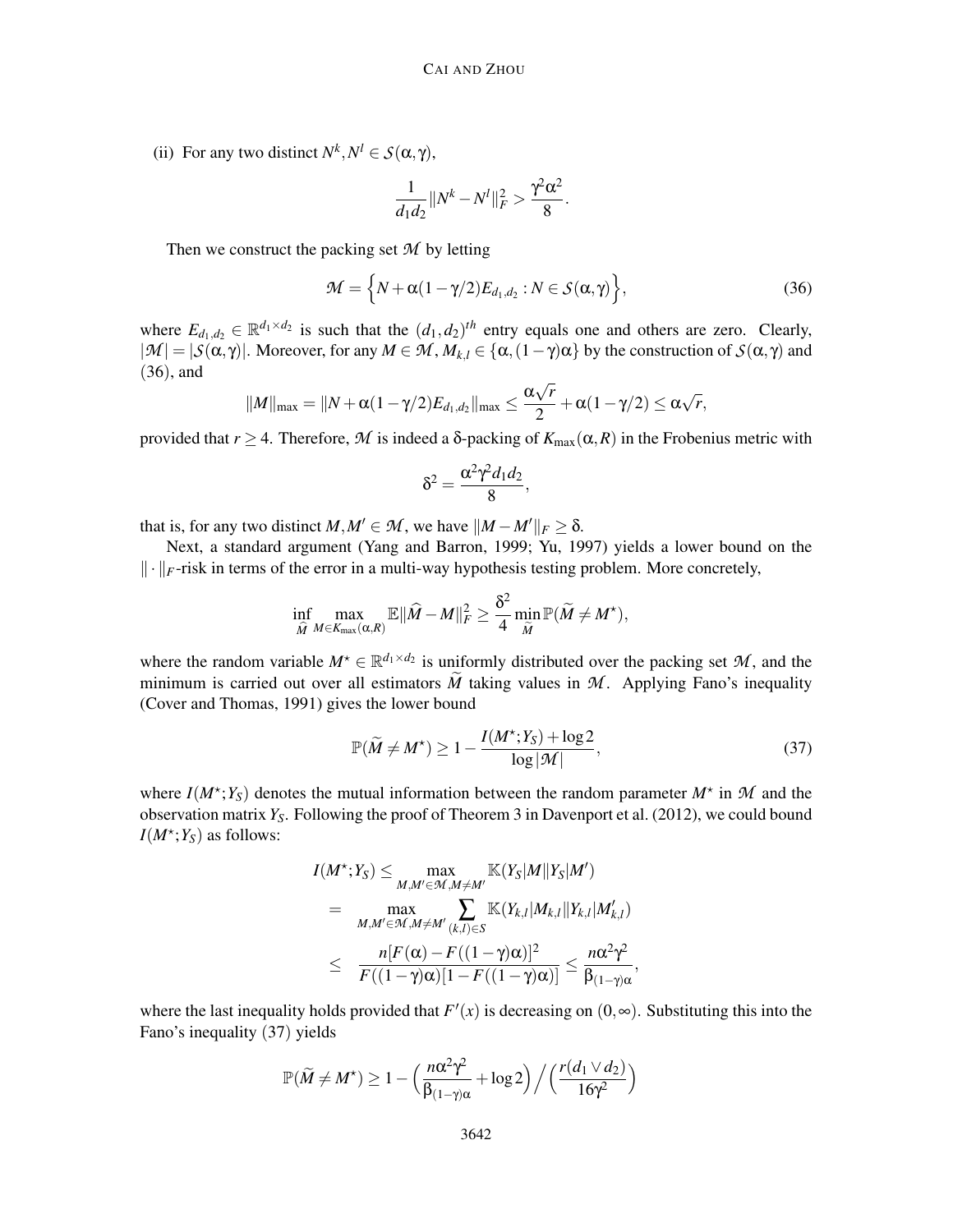(ii) For any two distinct  $N^k, N^l \in S(\alpha, \gamma)$ ,

$$
\frac{1}{d_1 d_2} \|N^k - N^l\|_F^2 > \frac{\gamma^2 \alpha^2}{8}.
$$

Then we construct the packing set *M* by letting

$$
\mathcal{M} = \left\{ N + \alpha (1 - \gamma/2) E_{d_1, d_2} : N \in \mathcal{S}(\alpha, \gamma) \right\},\tag{36}
$$

where  $E_{d_1,d_2} \in \mathbb{R}^{d_1 \times d_2}$  is such that the  $(d_1, d_2)^{th}$  entry equals one and others are zero. Clearly,  $|\mathcal{M}| = |\mathcal{S}(\alpha, \gamma)|$ . Moreover, for any  $M \in \mathcal{M}$ ,  $M_{k,l} \in {\alpha, (1-\gamma)\alpha}$  by the construction of  $\mathcal{S}(\alpha, \gamma)$  and (36), and

$$
||M||_{\max} = ||N + \alpha(1-\gamma/2)E_{d_1,d_2}||_{\max} \leq \frac{\alpha\sqrt{r}}{2} + \alpha(1-\gamma/2) \leq \alpha\sqrt{r},
$$

provided that  $r \geq 4$ . Therefore, M is indeed a  $\delta$ -packing of  $K_{\max}(\alpha, R)$  in the Frobenius metric with

$$
\delta^2 = \frac{\alpha^2 \gamma^2 d_1 d_2}{8},
$$

that is, for any two distinct  $M, M' \in \mathcal{M}$ , we have  $\|M - M'\|_F \geq \delta$ .

Next, a standard argument (Yang and Barron, 1999; Yu, 1997) yields a lower bound on the  $\|\cdot\|_F$ -risk in terms of the error in a multi-way hypothesis testing problem. More concretely,

$$
\inf_{\widehat{M}} \max_{M \in K_{\max}(\alpha, R)} \mathbb{E} \|\widehat{M} - M\|_F^2 \geq \frac{\delta^2}{4} \min_{\widetilde{M}} \mathbb{P}(\widetilde{M} \neq M^\star),
$$

where the random variable  $M^* \in \mathbb{R}^{d_1 \times d_2}$  is uniformly distributed over the packing set  $M$ , and the minimum is carried out over all estimators  $\tilde{M}$  taking values in  $M$ . Applying Fano's inequality (Cover and Thomas, 1991) gives the lower bound

$$
\mathbb{P}(\widetilde{M} \neq M^{\star}) \ge 1 - \frac{I(M^{\star}; Y_S) + \log 2}{\log |\mathcal{M}|},\tag{37}
$$

where  $I(M^{\star}; Y_S)$  denotes the mutual information between the random parameter  $M^{\star}$  in M and the observation matrix  $Y_S$ . Following the proof of Theorem 3 in Davenport et al. (2012), we could bound  $I(M^*; Y_S)$  as follows:

$$
I(M^*; Y_S) \leq \max_{M,M' \in \mathcal{M}, M \neq M'} \mathbb{K}(Y_S|M||Y_S|M')
$$
  
= 
$$
\max_{M,M' \in \mathcal{M}, M \neq M'} \sum_{(k,l) \in S} \mathbb{K}(Y_{k,l}|M_{k,l}||Y_{k,l}|M'_{k,l})
$$
  

$$
\leq \frac{n[F(\alpha) - F((1 - \gamma)\alpha)]^2}{F((1 - \gamma)\alpha)[1 - F((1 - \gamma)\alpha)]} \leq \frac{n\alpha^2\gamma^2}{\beta_{(1 - \gamma)\alpha}},
$$

where the last inequality holds provided that  $F'(x)$  is decreasing on  $(0, \infty)$ . Substituting this into the Fano's inequality (37) yields

$$
\mathbb{P}(\widetilde{M} \neq M^{\star}) \geq 1 - \left(\frac{n\alpha^2\gamma^2}{\beta_{(1-\gamma)\alpha}} + \log 2\right) / \left(\frac{r(d_1 \vee d_2)}{16\gamma^2}\right)
$$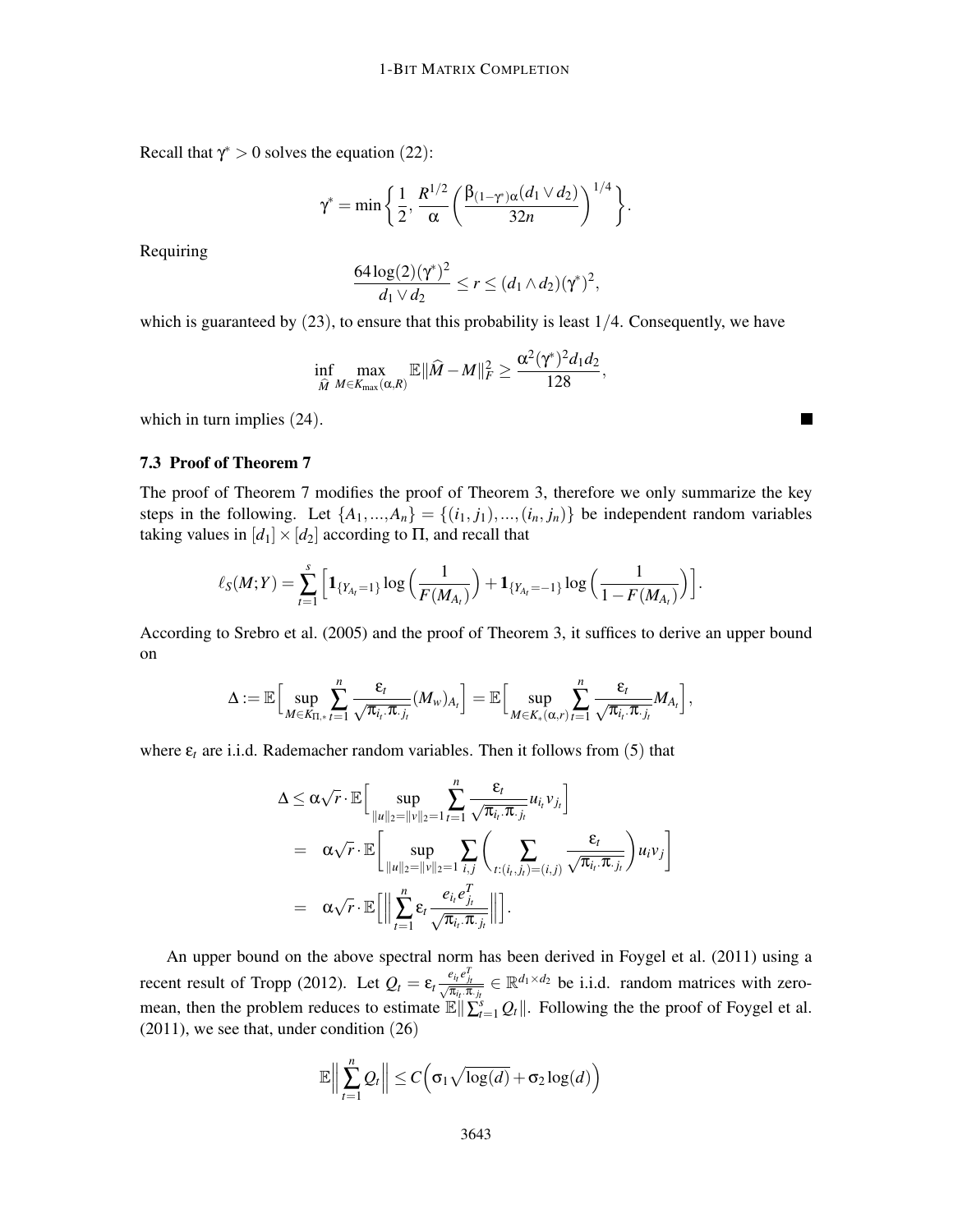Recall that  $\gamma^* > 0$  solves the equation (22):

$$
\gamma^* = \min\bigg\{\frac{1}{2},\frac{R^{1/2}}{\alpha}\bigg(\frac{\beta_{(1-\gamma^*)\alpha}(d_1\vee d_2)}{32n}\bigg)^{1/4}\bigg\}.
$$

Requiring

$$
\frac{64\log(2)(\gamma^*)^2}{d_1\vee d_2} \leq r \leq (d_1\wedge d_2)(\gamma^*)^2,
$$

which is guaranteed by  $(23)$ , to ensure that this probability is least  $1/4$ . Consequently, we have

$$
\inf_{\widehat{M}} \max_{M \in K_{\max}(\alpha, R)} \mathbb{E} \|\widehat{M} - M\|_F^2 \geq \frac{\alpha^2 (\gamma^*)^2 d_1 d_2}{128},
$$

which in turn implies (24).

# 7.3 Proof of Theorem 7

The proof of Theorem 7 modifies the proof of Theorem 3, therefore we only summarize the key steps in the following. Let  $\{A_1, ..., A_n\} = \{(i_1, j_1), ..., (i_n, j_n)\}$  be independent random variables taking values in  $[d_1] \times [d_2]$  according to  $\Pi$ , and recall that

 $\blacksquare$ 

$$
\ell_S(M;Y) = \sum_{t=1}^s \left[ \mathbf{1}_{\{Y_{A_t}=1\}} \log \left( \frac{1}{F(M_{A_t})} \right) + \mathbf{1}_{\{Y_{A_t}=-1\}} \log \left( \frac{1}{1-F(M_{A_t})} \right) \right].
$$

According to Srebro et al. (2005) and the proof of Theorem 3, it suffices to derive an upper bound on

$$
\Delta := \mathbb{E}\Big[\sup_{M\in K_{\Pi,*}}\sum_{t=1}^n\frac{\epsilon_t}{\sqrt{\pi_{i_t}.\pi_{\cdot j_t}}}(M_{w})_{A_t}\Big] = \mathbb{E}\Big[\sup_{M\in K_*(\alpha,r)}\sum_{t=1}^n\frac{\epsilon_t}{\sqrt{\pi_{i_t}.\pi_{\cdot j_t}}}M_{A_t}\Big],
$$

where  $\varepsilon_t$  are i.i.d. Rademacher random variables. Then it follows from (5) that

$$
\Delta \leq \alpha \sqrt{r} \cdot \mathbb{E} \Big[ \sup_{\|u\|_2 = \|v\|_2 = 1} \sum_{t=1}^n \frac{\varepsilon_t}{\sqrt{\pi_{i_t} \cdot \pi_{\cdot j_t}}} u_{i_t} v_{j_t} \Big]
$$
\n
$$
= \alpha \sqrt{r} \cdot \mathbb{E} \Big[ \sup_{\|u\|_2 = \|v\|_2 = 1} \sum_{i,j} \left( \sum_{t:(i_t,j_t)=(i,j)} \frac{\varepsilon_t}{\sqrt{\pi_{i_t} \cdot \pi_{\cdot j_t}}} \right) u_i v_j \Big]
$$
\n
$$
= \alpha \sqrt{r} \cdot \mathbb{E} \Big[ \Big\| \sum_{t=1}^n \varepsilon_t \frac{e_{i_t} e_{j_t}^T}{\sqrt{\pi_{i_t} \cdot \pi_{\cdot j_t}}} \Big\| \Big].
$$

An upper bound on the above spectral norm has been derived in Foygel et al. (2011) using a recent result of Tropp (2012). Let  $Q_t = \varepsilon_t \frac{e_{i_t} e_{j_t}^T}{\sqrt{\pi_{i_t} \cdot \pi_{j_t}}} \in \mathbb{R}^{d_1 \times d_2}$  be i.i.d. random matrices with zeromean, then the problem reduces to estimate  $\mathbb{E} \|\sum_{t=1}^{s} Q_t\|$ . Following the the proof of Foygel et al. (2011), we see that, under condition (26)

$$
\mathbb{E}\Big\|\sum_{t=1}^n \mathcal{Q}_t\Big\| \le C\Big(\sigma_1\sqrt{\log(d)} + \sigma_2\log(d)\Big)
$$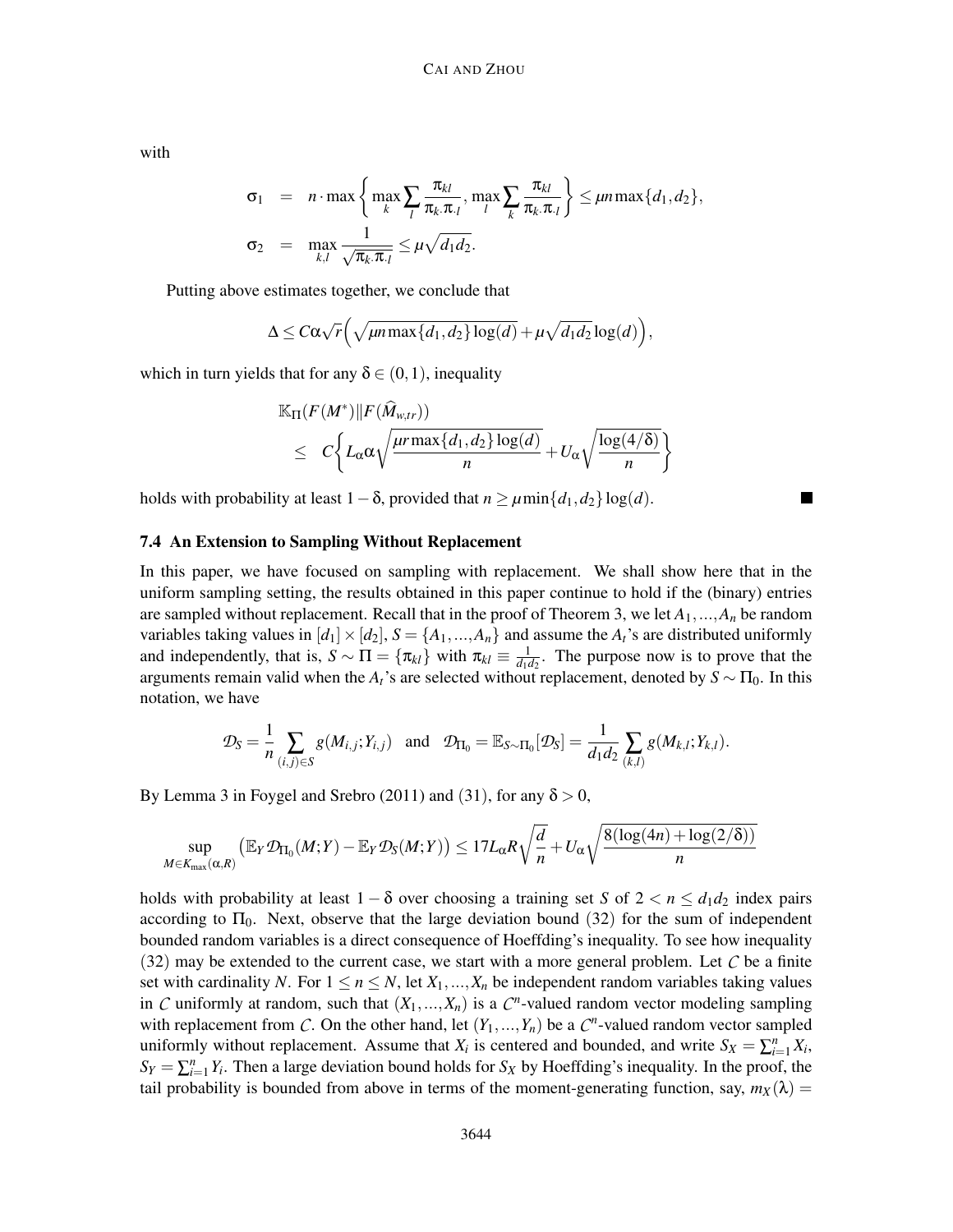with

$$
\sigma_1 = n \cdot \max \left\{ \max_k \sum_l \frac{\pi_{kl}}{\pi_k \pi_l}, \max_l \sum_k \frac{\pi_{kl}}{\pi_k \pi_l} \right\} \leq \mu n \max \{d_1, d_2\},
$$
  

$$
\sigma_2 = \max_{k,l} \frac{1}{\sqrt{\pi_k \pi_l}} \leq \mu \sqrt{d_1 d_2}.
$$

Putting above estimates together, we conclude that

$$
\Delta \leq C\alpha\sqrt{r}\left(\sqrt{\mu n \max\{d_1,d_2\}\log(d)} + \mu\sqrt{d_1d_2}\log(d)\right),\,
$$

which in turn yields that for any  $\delta \in (0,1)$ , inequality

$$
\mathbb{K}_{\Pi}(F(M^*)||F(\widehat{M}_{w,tr}))
$$
\n
$$
\leq C \bigg\{ L_{\alpha} \alpha \sqrt{\frac{\mu r \max\{d_1, d_2\} \log(d)}{n}} + U_{\alpha} \sqrt{\frac{\log(4/\delta)}{n}} \bigg\}
$$

holds with probability at least  $1-\delta$ , provided that  $n \geq \mu \min\{d_1, d_2\} \log(d)$ .

# 7.4 An Extension to Sampling Without Replacement

In this paper, we have focused on sampling with replacement. We shall show here that in the uniform sampling setting, the results obtained in this paper continue to hold if the (binary) entries are sampled without replacement. Recall that in the proof of Theorem 3, we let  $A_1, \ldots, A_n$  be random variables taking values in  $[d_1] \times [d_2]$ ,  $S = \{A_1, ..., A_n\}$  and assume the  $A_t$ 's are distributed uniformly and independently, that is,  $S \sim \Pi = {\pi_{kl}}$  with  $\pi_{kl} \equiv \frac{1}{d_1 \alpha_l}$  $\frac{1}{d_1 d_2}$ . The purpose now is to prove that the arguments remain valid when the  $A_t$ 's are selected without replacement, denoted by  $S \sim \Pi_0$ . In this notation, we have

$$
\mathcal{D}_S = \frac{1}{n} \sum_{(i,j) \in S} g(M_{i,j}; Y_{i,j}) \text{ and } \mathcal{D}_{\Pi_0} = \mathbb{E}_{S \sim \Pi_0} [\mathcal{D}_S] = \frac{1}{d_1 d_2} \sum_{(k,l)} g(M_{k,l}; Y_{k,l}).
$$

By Lemma 3 in Foygel and Srebro (2011) and (31), for any  $\delta > 0$ ,

$$
\sup_{M \in K_{\max}(\alpha, R)} \left( \mathbb{E}_Y \mathcal{D}_{\Pi_0}(M;Y) - \mathbb{E}_Y \mathcal{D}_S(M;Y) \right) \leq 17 L_{\alpha} R \sqrt{\frac{d}{n}} + U_{\alpha} \sqrt{\frac{8(\log(4n) + \log(2/\delta))}{n}}
$$

holds with probability at least  $1 - \delta$  over choosing a training set *S* of  $2 < n \le d_1 d_2$  index pairs according to  $\Pi_0$ . Next, observe that the large deviation bound (32) for the sum of independent bounded random variables is a direct consequence of Hoeffding's inequality. To see how inequality  $(32)$  may be extended to the current case, we start with a more general problem. Let  $\mathcal C$  be a finite set with cardinality *N*. For  $1 \le n \le N$ , let  $X_1, ..., X_n$  be independent random variables taking values in *C* uniformly at random, such that  $(X_1, ..., X_n)$  is a  $C^n$ -valued random vector modeling sampling with replacement from C. On the other hand, let  $(Y_1, ..., Y_n)$  be a  $C^n$ -valued random vector sampled uniformly without replacement. Assume that  $X_i$  is centered and bounded, and write  $S_X = \sum_{i=1}^n X_i$ ,  $S_Y = \sum_{i=1}^n Y_i$ . Then a large deviation bound holds for *S<sub>X</sub>* by Hoeffding's inequality. In the proof, the tail probability is bounded from above in terms of the moment-generating function, say,  $m_X(\lambda)$  =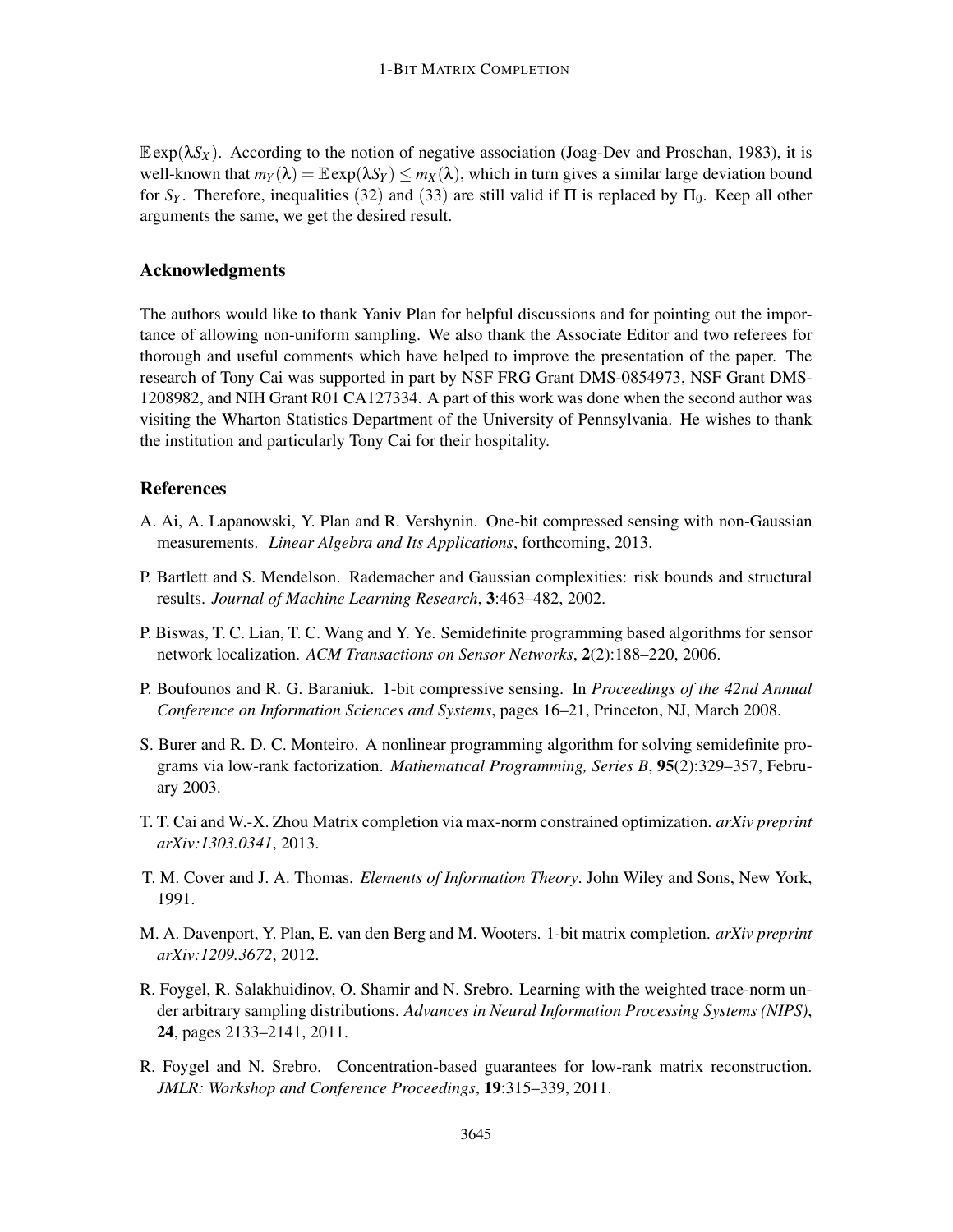$\mathbb{E}$ exp( $\lambda S_X$ ). According to the notion of negative association (Joag-Dev and Proschan, 1983), it is well-known that  $m_Y(\lambda) = \mathbb{E} \exp(\lambda S_Y) \leq m_X(\lambda)$ , which in turn gives a similar large deviation bound for  $S_Y$ . Therefore, inequalities (32) and (33) are still valid if  $\Pi$  is replaced by  $\Pi_0$ . Keep all other arguments the same, we get the desired result.

# Acknowledgments

The authors would like to thank Yaniv Plan for helpful discussions and for pointing out the importance of allowing non-uniform sampling. We also thank the Associate Editor and two referees for thorough and useful comments which have helped to improve the presentation of the paper. The research of Tony Cai was supported in part by NSF FRG Grant DMS-0854973, NSF Grant DMS-1208982, and NIH Grant R01 CA127334. A part of this work was done when the second author was visiting the Wharton Statistics Department of the University of Pennsylvania. He wishes to thank the institution and particularly Tony Cai for their hospitality.

# References

- A. Ai, A. Lapanowski, Y. Plan and R. Vershynin. One-bit compressed sensing with non-Gaussian measurements. *Linear Algebra and Its Applications*, forthcoming, 2013.
- P. Bartlett and S. Mendelson. Rademacher and Gaussian complexities: risk bounds and structural results. *Journal of Machine Learning Research*, 3:463–482, 2002.
- P. Biswas, T. C. Lian, T. C. Wang and Y. Ye. Semidefinite programming based algorithms for sensor network localization. *ACM Transactions on Sensor Networks*, 2(2):188–220, 2006.
- P. Boufounos and R. G. Baraniuk. 1-bit compressive sensing. In *Proceedings of the 42nd Annual Conference on Information Sciences and Systems*, pages 16–21, Princeton, NJ, March 2008.
- S. Burer and R. D. C. Monteiro. A nonlinear programming algorithm for solving semidefinite programs via low-rank factorization. *Mathematical Programming, Series B*, 95(2):329–357, February 2003.
- T. T. Cai and W.-X. Zhou Matrix completion via max-norm constrained optimization. *arXiv preprint arXiv:1303.0341*, 2013.
- T. M. Cover and J. A. Thomas. *Elements of Information Theory*. John Wiley and Sons, New York, 1991.
- M. A. Davenport, Y. Plan, E. van den Berg and M. Wooters. 1-bit matrix completion. *arXiv preprint arXiv:1209.3672*, 2012.
- R. Foygel, R. Salakhuidinov, O. Shamir and N. Srebro. Learning with the weighted trace-norm under arbitrary sampling distributions. *Advances in Neural Information Processing Systems (NIPS)*, 24, pages 2133–2141, 2011.
- R. Foygel and N. Srebro. Concentration-based guarantees for low-rank matrix reconstruction. *JMLR: Workshop and Conference Proceedings*, 19:315–339, 2011.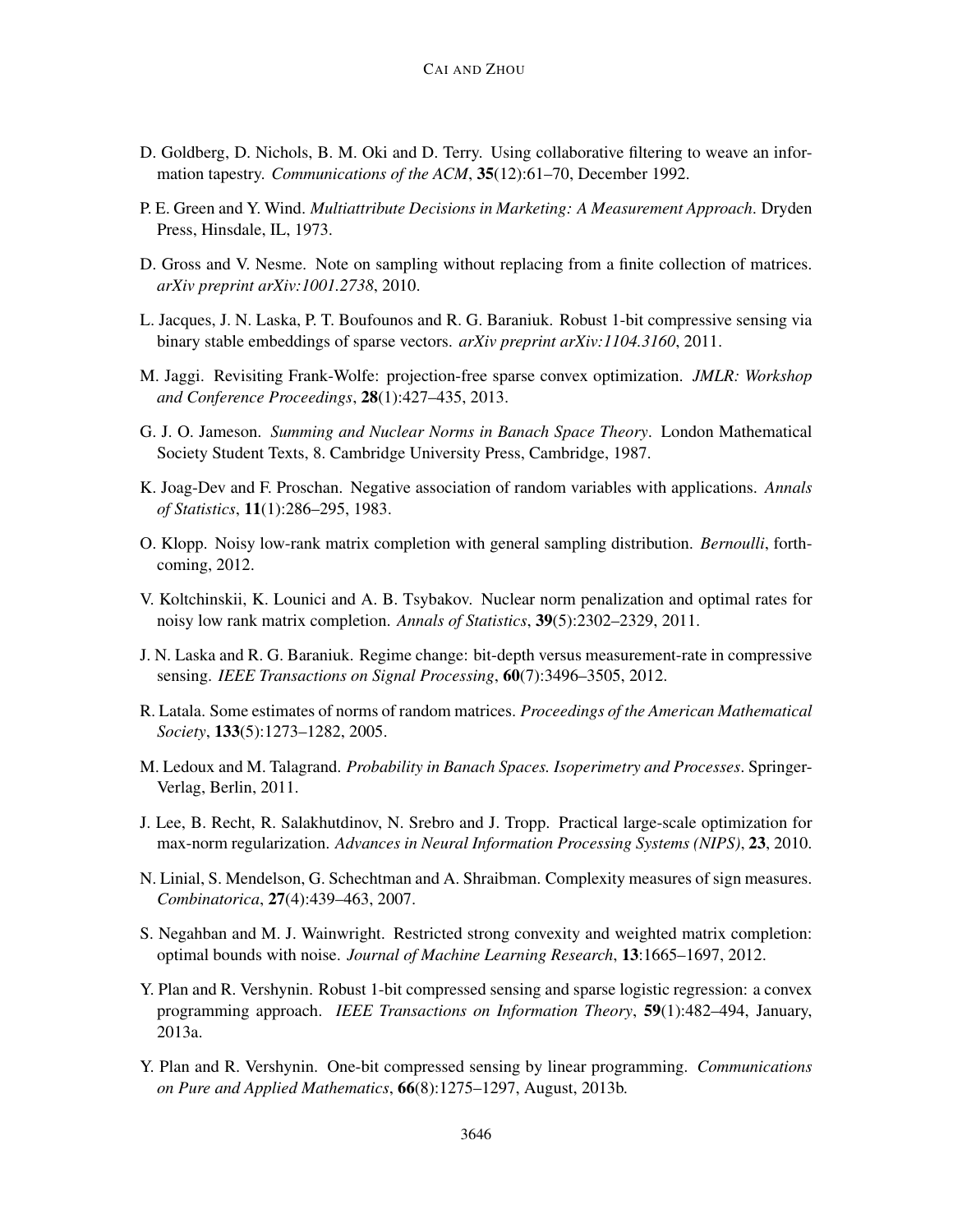- D. Goldberg, D. Nichols, B. M. Oki and D. Terry. Using collaborative filtering to weave an information tapestry. *Communications of the ACM*, 35(12):61–70, December 1992.
- P. E. Green and Y. Wind. *Multiattribute Decisions in Marketing: A Measurement Approach*. Dryden Press, Hinsdale, IL, 1973.
- D. Gross and V. Nesme. Note on sampling without replacing from a finite collection of matrices. *arXiv preprint arXiv:1001.2738*, 2010.
- L. Jacques, J. N. Laska, P. T. Boufounos and R. G. Baraniuk. Robust 1-bit compressive sensing via binary stable embeddings of sparse vectors. *arXiv preprint arXiv:1104.3160*, 2011.
- M. Jaggi. Revisiting Frank-Wolfe: projection-free sparse convex optimization. *JMLR: Workshop and Conference Proceedings*, 28(1):427–435, 2013.
- G. J. O. Jameson. *Summing and Nuclear Norms in Banach Space Theory*. London Mathematical Society Student Texts, 8. Cambridge University Press, Cambridge, 1987.
- K. Joag-Dev and F. Proschan. Negative association of random variables with applications. *Annals of Statistics*, 11(1):286–295, 1983.
- O. Klopp. Noisy low-rank matrix completion with general sampling distribution. *Bernoulli*, forthcoming, 2012.
- V. Koltchinskii, K. Lounici and A. B. Tsybakov. Nuclear norm penalization and optimal rates for noisy low rank matrix completion. *Annals of Statistics*, 39(5):2302–2329, 2011.
- J. N. Laska and R. G. Baraniuk. Regime change: bit-depth versus measurement-rate in compressive sensing. *IEEE Transactions on Signal Processing*, 60(7):3496–3505, 2012.
- R. Latala. Some estimates of norms of random matrices. *Proceedings of the American Mathematical Society*, 133(5):1273–1282, 2005.
- M. Ledoux and M. Talagrand. *Probability in Banach Spaces. Isoperimetry and Processes*. Springer-Verlag, Berlin, 2011.
- J. Lee, B. Recht, R. Salakhutdinov, N. Srebro and J. Tropp. Practical large-scale optimization for max-norm regularization. *Advances in Neural Information Processing Systems (NIPS)*, 23, 2010.
- N. Linial, S. Mendelson, G. Schechtman and A. Shraibman. Complexity measures of sign measures. *Combinatorica*, 27(4):439–463, 2007.
- S. Negahban and M. J. Wainwright. Restricted strong convexity and weighted matrix completion: optimal bounds with noise. *Journal of Machine Learning Research*, 13:1665–1697, 2012.
- Y. Plan and R. Vershynin. Robust 1-bit compressed sensing and sparse logistic regression: a convex programming approach. *IEEE Transactions on Information Theory*, 59(1):482–494, January, 2013a.
- Y. Plan and R. Vershynin. One-bit compressed sensing by linear programming. *Communications on Pure and Applied Mathematics*, 66(8):1275–1297, August, 2013b.